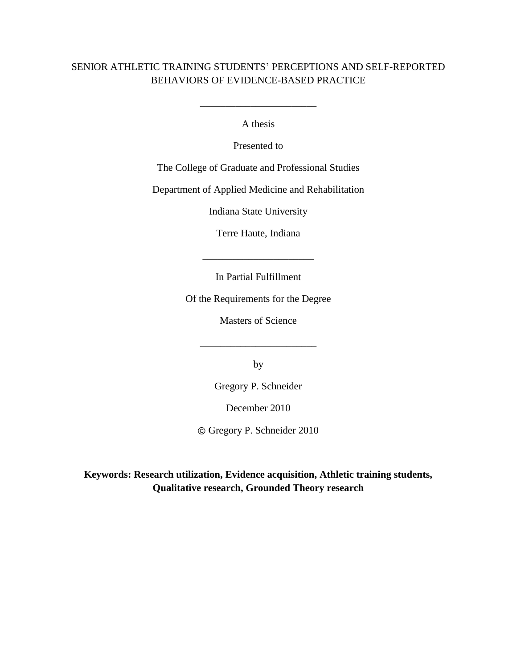## SENIOR ATHLETIC TRAINING STUDENTS" PERCEPTIONS AND SELF-REPORTED BEHAVIORS OF EVIDENCE-BASED PRACTICE

A thesis

\_\_\_\_\_\_\_\_\_\_\_\_\_\_\_\_\_\_\_\_\_\_\_

Presented to

The College of Graduate and Professional Studies

Department of Applied Medicine and Rehabilitation

Indiana State University

Terre Haute, Indiana

\_\_\_\_\_\_\_\_\_\_\_\_\_\_\_\_\_\_\_\_\_\_

In Partial Fulfillment

Of the Requirements for the Degree

Masters of Science

\_\_\_\_\_\_\_\_\_\_\_\_\_\_\_\_\_\_\_\_\_\_\_

by

Gregory P. Schneider

December 2010

Gregory P. Schneider 2010

**Keywords: Research utilization, Evidence acquisition, Athletic training students, Qualitative research, Grounded Theory research**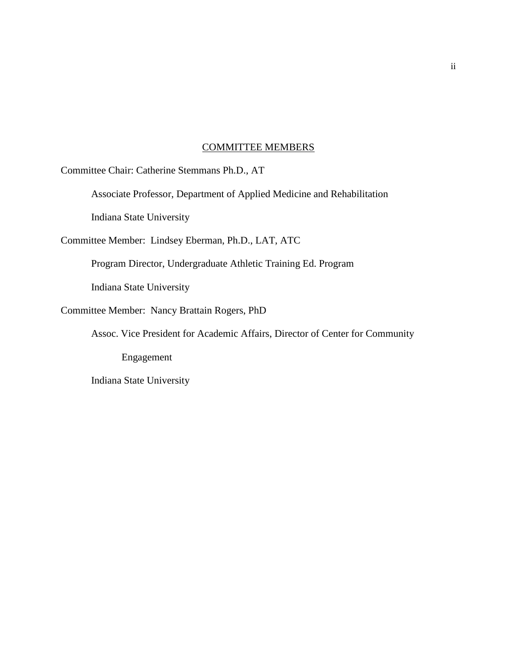#### COMMITTEE MEMBERS

Committee Chair: Catherine Stemmans Ph.D., AT

Associate Professor, Department of Applied Medicine and Rehabilitation

Indiana State University

Committee Member: Lindsey Eberman, Ph.D., LAT, ATC

Program Director, Undergraduate Athletic Training Ed. Program

Indiana State University

Committee Member: Nancy Brattain Rogers, PhD

Assoc. Vice President for Academic Affairs, Director of Center for Community

Engagement

Indiana State University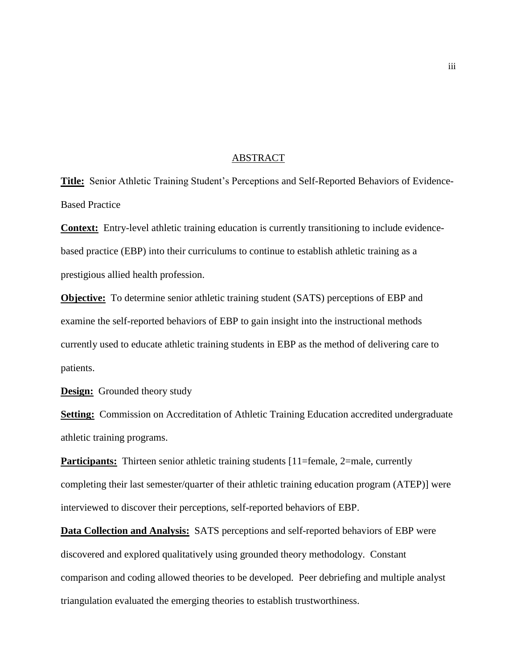#### ABSTRACT

**Title:** Senior Athletic Training Student"s Perceptions and Self-Reported Behaviors of Evidence-Based Practice

**Context:** Entry-level athletic training education is currently transitioning to include evidencebased practice (EBP) into their curriculums to continue to establish athletic training as a prestigious allied health profession.

**Objective:** To determine senior athletic training student (SATS) perceptions of EBP and examine the self-reported behaviors of EBP to gain insight into the instructional methods currently used to educate athletic training students in EBP as the method of delivering care to patients.

**Design:** Grounded theory study

**Setting:** Commission on Accreditation of Athletic Training Education accredited undergraduate athletic training programs.

**Participants:** Thirteen senior athletic training students [11=female, 2=male, currently completing their last semester/quarter of their athletic training education program (ATEP)] were interviewed to discover their perceptions, self-reported behaviors of EBP.

**Data Collection and Analysis:** SATS perceptions and self-reported behaviors of EBP were discovered and explored qualitatively using grounded theory methodology. Constant comparison and coding allowed theories to be developed. Peer debriefing and multiple analyst triangulation evaluated the emerging theories to establish trustworthiness.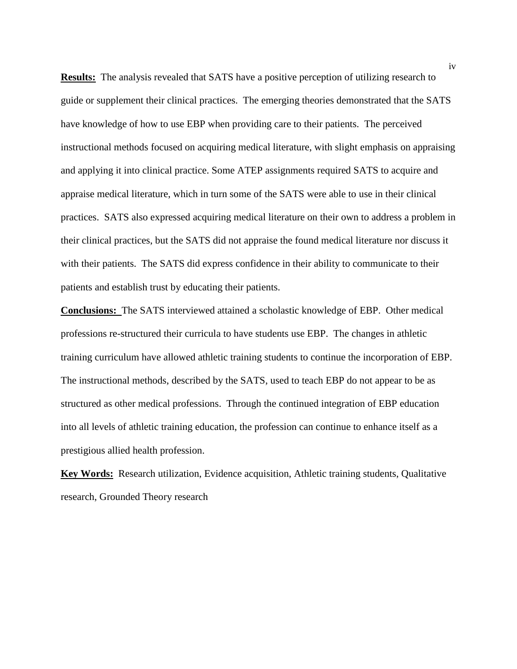**Results:** The analysis revealed that SATS have a positive perception of utilizing research to guide or supplement their clinical practices. The emerging theories demonstrated that the SATS have knowledge of how to use EBP when providing care to their patients. The perceived instructional methods focused on acquiring medical literature, with slight emphasis on appraising and applying it into clinical practice. Some ATEP assignments required SATS to acquire and appraise medical literature, which in turn some of the SATS were able to use in their clinical practices. SATS also expressed acquiring medical literature on their own to address a problem in their clinical practices, but the SATS did not appraise the found medical literature nor discuss it with their patients. The SATS did express confidence in their ability to communicate to their patients and establish trust by educating their patients.

**Conclusions:** The SATS interviewed attained a scholastic knowledge of EBP. Other medical professions re-structured their curricula to have students use EBP. The changes in athletic training curriculum have allowed athletic training students to continue the incorporation of EBP. The instructional methods, described by the SATS, used to teach EBP do not appear to be as structured as other medical professions. Through the continued integration of EBP education into all levels of athletic training education, the profession can continue to enhance itself as a prestigious allied health profession.

**Key Words:** Research utilization, Evidence acquisition, Athletic training students, Qualitative research, Grounded Theory research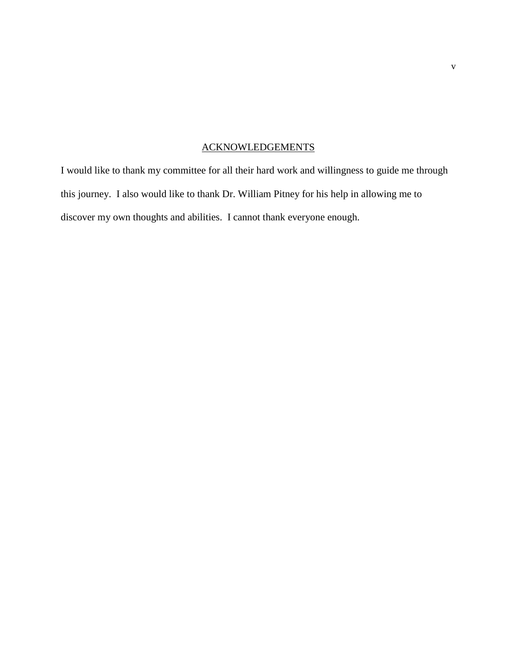## ACKNOWLEDGEMENTS

I would like to thank my committee for all their hard work and willingness to guide me through this journey. I also would like to thank Dr. William Pitney for his help in allowing me to discover my own thoughts and abilities. I cannot thank everyone enough.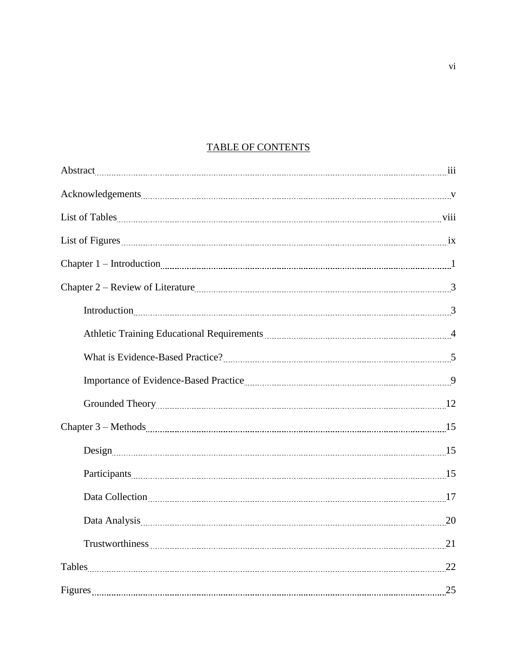## TABLE OF CONTENTS

| Chapter 2 – Review of Literature 2000 (2000) 3                                                                                                                                                                                 |  |
|--------------------------------------------------------------------------------------------------------------------------------------------------------------------------------------------------------------------------------|--|
| Introduction $3$                                                                                                                                                                                                               |  |
| Athletic Training Educational Requirements [11] Marshall Athletic Training Educational Requirements [11] Marshall Athletic Training A                                                                                          |  |
|                                                                                                                                                                                                                                |  |
| Importance of Evidence-Based Practice [11] March 2014 19 [12] March 2014 19 [12] March 2014 19 [12] March 2014 19 [12] March 2014 19 [12] March 2014 19 [12] March 2014 19 [12] March 2014 19 [12] March 2014 19 [12] March 20 |  |
|                                                                                                                                                                                                                                |  |
|                                                                                                                                                                                                                                |  |
| Design <sub>1</sub> 15                                                                                                                                                                                                         |  |
|                                                                                                                                                                                                                                |  |
| Data Collection 17                                                                                                                                                                                                             |  |
| Data Analysis 20                                                                                                                                                                                                               |  |
| Trustworthiness 21                                                                                                                                                                                                             |  |
| Tables 22                                                                                                                                                                                                                      |  |
|                                                                                                                                                                                                                                |  |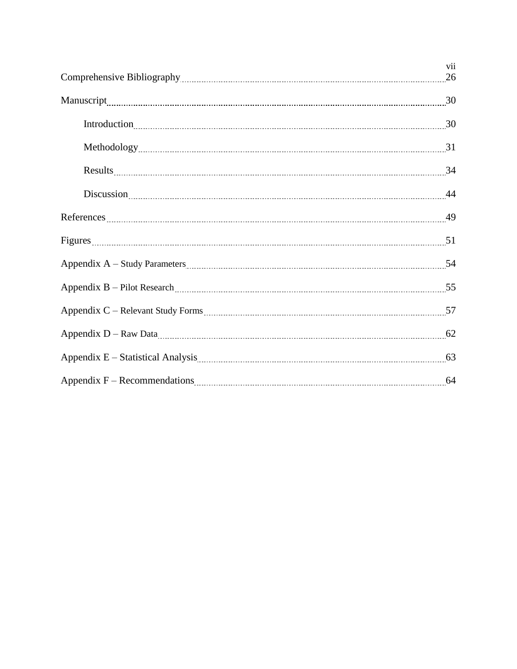| Discussion 24                                                                                                                                                                                                                  |  |
|--------------------------------------------------------------------------------------------------------------------------------------------------------------------------------------------------------------------------------|--|
|                                                                                                                                                                                                                                |  |
|                                                                                                                                                                                                                                |  |
|                                                                                                                                                                                                                                |  |
|                                                                                                                                                                                                                                |  |
|                                                                                                                                                                                                                                |  |
|                                                                                                                                                                                                                                |  |
| Appendix E - Statistical Analysis manufactured and statistical Analysis manufactured and statistical Analysis manufactured and statistical Analysis manufactured and statistical Analysis manufactured and statistical Analysi |  |
|                                                                                                                                                                                                                                |  |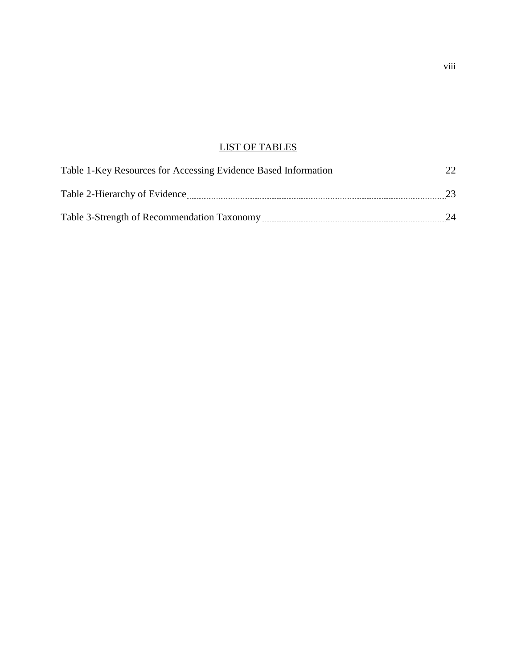## LIST OF TABLES

| Table 1-Key Resources for Accessing Evidence Based Information |    |
|----------------------------------------------------------------|----|
| Table 2-Hierarchy of Evidence                                  | 23 |
| Table 3-Strength of Recommendation Taxonomy                    | 24 |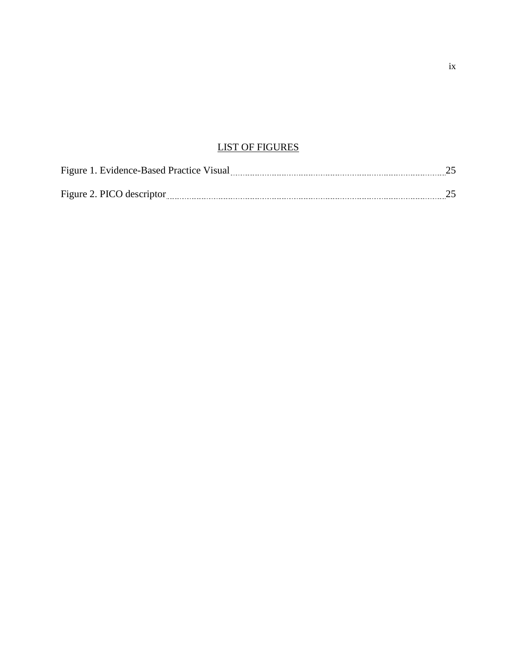## LIST OF FIGURES

| Figure 1. Evidence-Based Practice Visual |  |
|------------------------------------------|--|
|                                          |  |
| Figure 2. PICO descriptor                |  |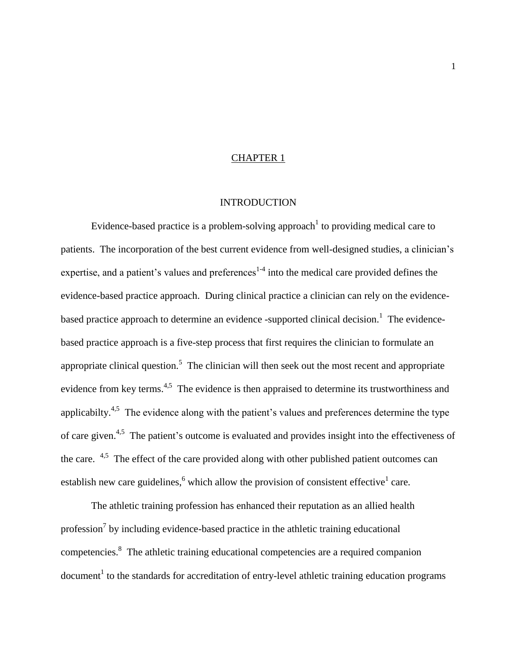#### CHAPTER 1

#### **INTRODUCTION**

Evidence-based practice is a problem-solving approach to providing medical care to patients. The incorporation of the best current evidence from well-designed studies, a clinician"s expertise, and a patient's values and preferences<sup>1-4</sup> into the medical care provided defines the evidence-based practice approach. During clinical practice a clinician can rely on the evidencebased practice approach to determine an evidence -supported clinical decision.<sup>1</sup> The evidencebased practice approach is a five-step process that first requires the clinician to formulate an appropriate clinical question.<sup>5</sup> The clinician will then seek out the most recent and appropriate evidence from key terms.<sup>4,5</sup> The evidence is then appraised to determine its trustworthiness and applicabilty.<sup>4,5</sup> The evidence along with the patient's values and preferences determine the type of care given.<sup>4,5</sup> The patient's outcome is evaluated and provides insight into the effectiveness of the care.  $4.5$  The effect of the care provided along with other published patient outcomes can establish new care guidelines,  $6$  which allow the provision of consistent effective  $1$  care.

The athletic training profession has enhanced their reputation as an allied health profession<sup>7</sup> by including evidence-based practice in the athletic training educational competencies.<sup>8</sup> The athletic training educational competencies are a required companion document<sup>1</sup> to the standards for accreditation of entry-level athletic training education programs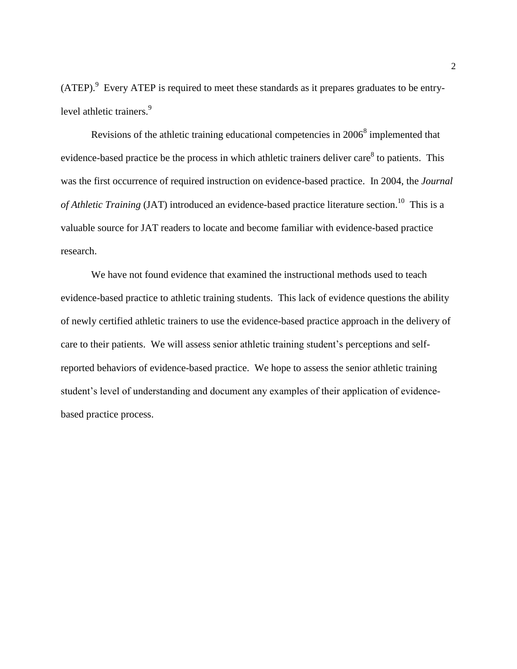$(ATEP).<sup>9</sup>$  Every ATEP is required to meet these standards as it prepares graduates to be entrylevel athletic trainers.<sup>9</sup>

Revisions of the athletic training educational competencies in  $2006<sup>8</sup>$  implemented that evidence-based practice be the process in which athletic trainers deliver care $^8$  to patients. This was the first occurrence of required instruction on evidence-based practice. In 2004, the *Journal*  of Athletic Training (JAT) introduced an evidence-based practice literature section.<sup>10</sup> This is a valuable source for JAT readers to locate and become familiar with evidence-based practice research.

We have not found evidence that examined the instructional methods used to teach evidence-based practice to athletic training students. This lack of evidence questions the ability of newly certified athletic trainers to use the evidence-based practice approach in the delivery of care to their patients. We will assess senior athletic training student"s perceptions and selfreported behaviors of evidence-based practice. We hope to assess the senior athletic training student"s level of understanding and document any examples of their application of evidencebased practice process.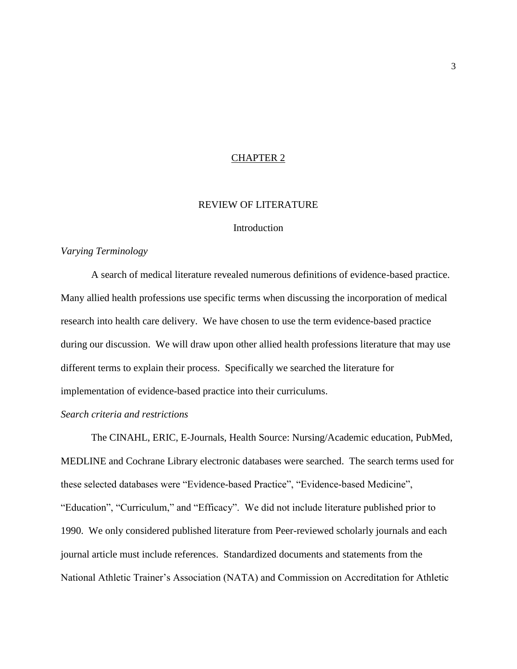#### CHAPTER 2

#### REVIEW OF LITERATURE

#### **Introduction**

#### *Varying Terminology*

A search of medical literature revealed numerous definitions of evidence-based practice. Many allied health professions use specific terms when discussing the incorporation of medical research into health care delivery. We have chosen to use the term evidence-based practice during our discussion. We will draw upon other allied health professions literature that may use different terms to explain their process. Specifically we searched the literature for implementation of evidence-based practice into their curriculums.

#### *Search criteria and restrictions*

The CINAHL, ERIC, E-Journals, Health Source: Nursing/Academic education, PubMed, MEDLINE and Cochrane Library electronic databases were searched. The search terms used for these selected databases were "Evidence-based Practice", "Evidence-based Medicine", "Education", "Curriculum," and "Efficacy". We did not include literature published prior to 1990. We only considered published literature from Peer-reviewed scholarly journals and each journal article must include references. Standardized documents and statements from the National Athletic Trainer"s Association (NATA) and Commission on Accreditation for Athletic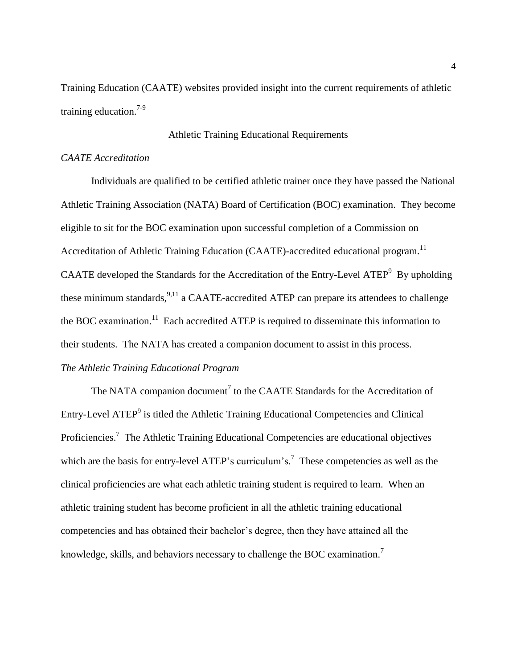Training Education (CAATE) websites provided insight into the current requirements of athletic training education.<sup>7-9</sup>

#### Athletic Training Educational Requirements

#### *CAATE Accreditation*

Individuals are qualified to be certified athletic trainer once they have passed the National Athletic Training Association (NATA) Board of Certification (BOC) examination. They become eligible to sit for the BOC examination upon successful completion of a Commission on Accreditation of Athletic Training Education (CAATE)-accredited educational program.<sup>11</sup> CAATE developed the Standards for the Accreditation of the Entry-Level ATEP $9$  By upholding these minimum standards,  $9,11$  a CAATE-accredited ATEP can prepare its attendees to challenge the BOC examination.<sup>11</sup> Each accredited ATEP is required to disseminate this information to their students. The NATA has created a companion document to assist in this process. *The Athletic Training Educational Program*

The NATA companion document<sup>7</sup> to the CAATE Standards for the Accreditation of Entry-Level ATEP<sup>9</sup> is titled the Athletic Training Educational Competencies and Clinical Proficiencies.<sup>7</sup> The Athletic Training Educational Competencies are educational objectives which are the basis for entry-level ATEP's curriculum's.<sup>7</sup> These competencies as well as the clinical proficiencies are what each athletic training student is required to learn. When an athletic training student has become proficient in all the athletic training educational competencies and has obtained their bachelor"s degree, then they have attained all the knowledge, skills, and behaviors necessary to challenge the BOC examination.<sup>7</sup>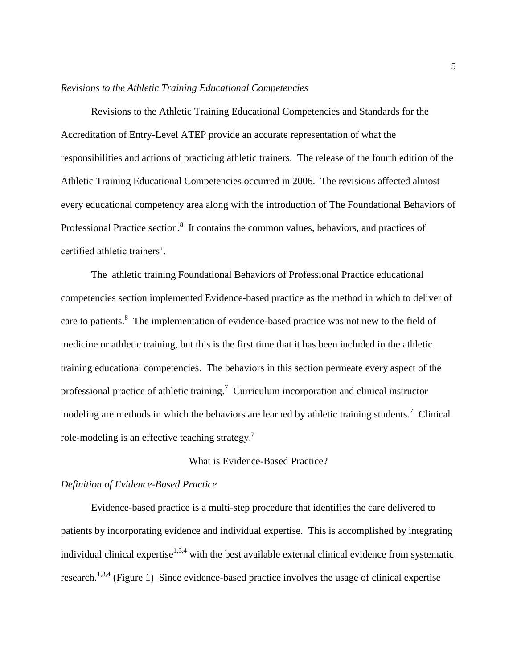#### *Revisions to the Athletic Training Educational Competencies*

Revisions to the Athletic Training Educational Competencies and Standards for the Accreditation of Entry-Level ATEP provide an accurate representation of what the responsibilities and actions of practicing athletic trainers. The release of the fourth edition of the Athletic Training Educational Competencies occurred in 2006. The revisions affected almost every educational competency area along with the introduction of The Foundational Behaviors of Professional Practice section.<sup>8</sup> It contains the common values, behaviors, and practices of certified athletic trainers'.

The athletic training Foundational Behaviors of Professional Practice educational competencies section implemented Evidence-based practice as the method in which to deliver of care to patients.<sup>8</sup> The implementation of evidence-based practice was not new to the field of medicine or athletic training, but this is the first time that it has been included in the athletic training educational competencies. The behaviors in this section permeate every aspect of the professional practice of athletic training.<sup>7</sup> Curriculum incorporation and clinical instructor modeling are methods in which the behaviors are learned by athletic training students.<sup>7</sup> Clinical role-modeling is an effective teaching strategy.<sup>7</sup>

#### What is Evidence-Based Practice?

#### *Definition of Evidence-Based Practice*

Evidence-based practice is a multi-step procedure that identifies the care delivered to patients by incorporating evidence and individual expertise. This is accomplished by integrating individual clinical expertise<sup>1,3,4</sup> with the best available external clinical evidence from systematic research.<sup>1,3,4</sup> (Figure 1) Since evidence-based practice involves the usage of clinical expertise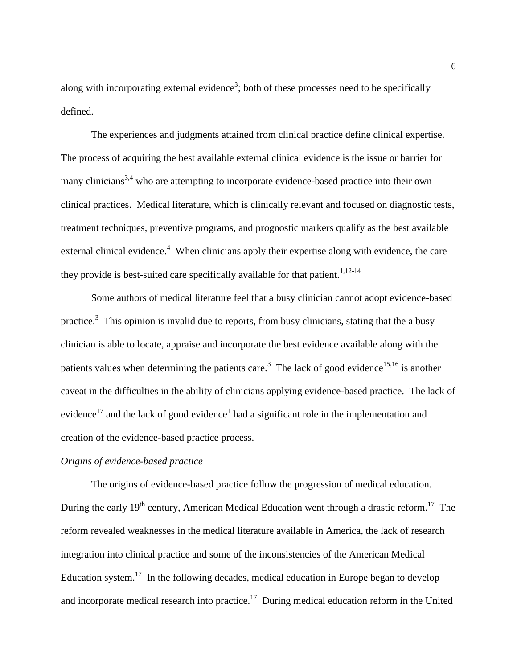along with incorporating external evidence<sup>3</sup>; both of these processes need to be specifically defined.

The experiences and judgments attained from clinical practice define clinical expertise. The process of acquiring the best available external clinical evidence is the issue or barrier for many clinicians<sup>3,4</sup> who are attempting to incorporate evidence-based practice into their own clinical practices. Medical literature, which is clinically relevant and focused on diagnostic tests, treatment techniques, preventive programs, and prognostic markers qualify as the best available external clinical evidence.<sup>4</sup> When clinicians apply their expertise along with evidence, the care they provide is best-suited care specifically available for that patient.<sup>1,12-14</sup>

Some authors of medical literature feel that a busy clinician cannot adopt evidence-based practice.<sup>3</sup> This opinion is invalid due to reports, from busy clinicians, stating that the a busy clinician is able to locate, appraise and incorporate the best evidence available along with the patients values when determining the patients care.<sup>3</sup> The lack of good evidence<sup>15,16</sup> is another caveat in the difficulties in the ability of clinicians applying evidence-based practice. The lack of evidence<sup>17</sup> and the lack of good evidence<sup>1</sup> had a significant role in the implementation and creation of the evidence-based practice process.

#### *Origins of evidence-based practice*

The origins of evidence-based practice follow the progression of medical education. During the early 19<sup>th</sup> century, American Medical Education went through a drastic reform.<sup>17</sup> The reform revealed weaknesses in the medical literature available in America, the lack of research integration into clinical practice and some of the inconsistencies of the American Medical Education system.<sup>17</sup> In the following decades, medical education in Europe began to develop and incorporate medical research into practice.<sup>17</sup> During medical education reform in the United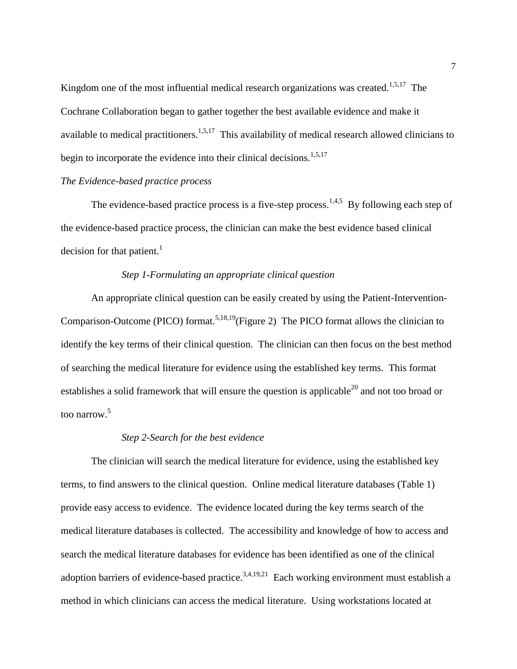Kingdom one of the most influential medical research organizations was created.<sup>1,5,17</sup> The Cochrane Collaboration began to gather together the best available evidence and make it available to medical practitioners.<sup>1,5,17</sup> This availability of medical research allowed clinicians to begin to incorporate the evidence into their clinical decisions.<sup>1,5,17</sup>

#### *The Evidence-based practice process*

The evidence-based practice process is a five-step process.<sup>1,4,5</sup> By following each step of the evidence-based practice process, the clinician can make the best evidence based clinical decision for that patient.<sup>1</sup>

#### *Step 1-Formulating an appropriate clinical question*

An appropriate clinical question can be easily created by using the Patient-Intervention-Comparison-Outcome (PICO) format.<sup>5,18,19</sup>(Figure 2) The PICO format allows the clinician to identify the key terms of their clinical question. The clinician can then focus on the best method of searching the medical literature for evidence using the established key terms. This format establishes a solid framework that will ensure the question is applicable<sup>20</sup> and not too broad or too narrow. 5

#### *Step 2-Search for the best evidence*

The clinician will search the medical literature for evidence, using the established key terms, to find answers to the clinical question. Online medical literature databases (Table 1) provide easy access to evidence. The evidence located during the key terms search of the medical literature databases is collected. The accessibility and knowledge of how to access and search the medical literature databases for evidence has been identified as one of the clinical adoption barriers of evidence-based practice.<sup>3,4,19,21</sup> Each working environment must establish a method in which clinicians can access the medical literature. Using workstations located at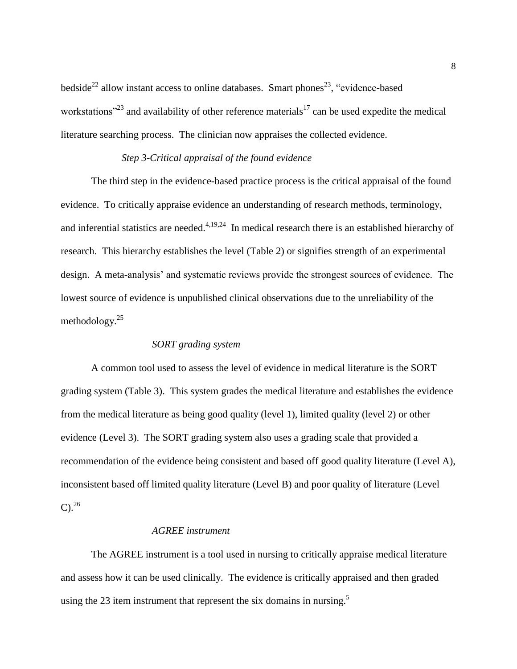bedside<sup>22</sup> allow instant access to online databases. Smart phones<sup>23</sup>, "evidence-based workstations<sup> $23$ </sup> and availability of other reference materials<sup>17</sup> can be used expedite the medical literature searching process. The clinician now appraises the collected evidence.

## *Step 3-Critical appraisal of the found evidence*

The third step in the evidence-based practice process is the critical appraisal of the found evidence. To critically appraise evidence an understanding of research methods, terminology, and inferential statistics are needed. $4,19,24$  In medical research there is an established hierarchy of research. This hierarchy establishes the level (Table 2) or signifies strength of an experimental design. A meta-analysis' and systematic reviews provide the strongest sources of evidence. The lowest source of evidence is unpublished clinical observations due to the unreliability of the methodology. $25$ 

#### *SORT grading system*

A common tool used to assess the level of evidence in medical literature is the SORT grading system (Table 3). This system grades the medical literature and establishes the evidence from the medical literature as being good quality (level 1), limited quality (level 2) or other evidence (Level 3). The SORT grading system also uses a grading scale that provided a recommendation of the evidence being consistent and based off good quality literature (Level A), inconsistent based off limited quality literature (Level B) and poor quality of literature (Level  $C)^{26}$ 

#### *AGREE instrument*

The AGREE instrument is a tool used in nursing to critically appraise medical literature and assess how it can be used clinically. The evidence is critically appraised and then graded using the 23 item instrument that represent the six domains in nursing.<sup>5</sup>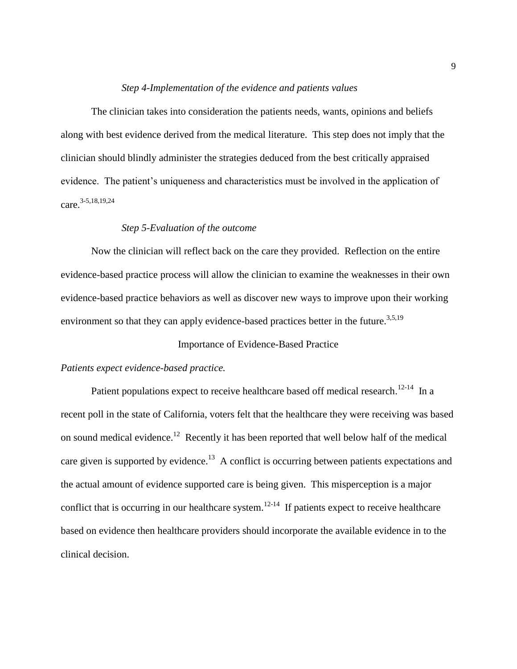#### *Step 4-Implementation of the evidence and patients values*

The clinician takes into consideration the patients needs, wants, opinions and beliefs along with best evidence derived from the medical literature. This step does not imply that the clinician should blindly administer the strategies deduced from the best critically appraised evidence. The patient's uniqueness and characteristics must be involved in the application of care. 3-5,18,19,24

#### *Step 5-Evaluation of the outcome*

Now the clinician will reflect back on the care they provided. Reflection on the entire evidence-based practice process will allow the clinician to examine the weaknesses in their own evidence-based practice behaviors as well as discover new ways to improve upon their working environment so that they can apply evidence-based practices better in the future.<sup>3,5,19</sup>

#### Importance of Evidence-Based Practice

#### *Patients expect evidence-based practice.*

Patient populations expect to receive healthcare based off medical research.<sup>12-14</sup> In a recent poll in the state of California, voters felt that the healthcare they were receiving was based on sound medical evidence.<sup>12</sup> Recently it has been reported that well below half of the medical care given is supported by evidence.<sup>13</sup> A conflict is occurring between patients expectations and the actual amount of evidence supported care is being given. This misperception is a major conflict that is occurring in our healthcare system.<sup>12-14</sup> If patients expect to receive healthcare based on evidence then healthcare providers should incorporate the available evidence in to the clinical decision.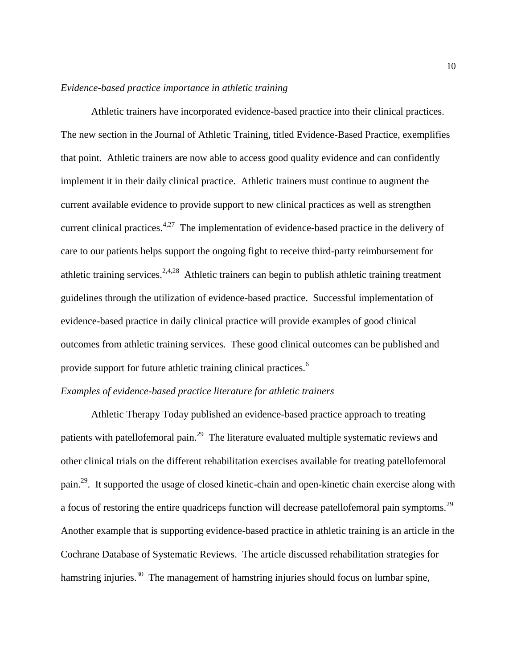#### *Evidence-based practice importance in athletic training*

Athletic trainers have incorporated evidence-based practice into their clinical practices. The new section in the Journal of Athletic Training, titled Evidence-Based Practice, exemplifies that point. Athletic trainers are now able to access good quality evidence and can confidently implement it in their daily clinical practice. Athletic trainers must continue to augment the current available evidence to provide support to new clinical practices as well as strengthen current clinical practices.<sup>4,27</sup> The implementation of evidence-based practice in the delivery of care to our patients helps support the ongoing fight to receive third-party reimbursement for athletic training services.<sup>2,4,28</sup> Athletic trainers can begin to publish athletic training treatment guidelines through the utilization of evidence-based practice. Successful implementation of evidence-based practice in daily clinical practice will provide examples of good clinical outcomes from athletic training services. These good clinical outcomes can be published and provide support for future athletic training clinical practices.<sup>6</sup>

## *Examples of evidence-based practice literature for athletic trainers*

Athletic Therapy Today published an evidence-based practice approach to treating patients with patellofemoral pain.<sup>29</sup> The literature evaluated multiple systematic reviews and other clinical trials on the different rehabilitation exercises available for treating patellofemoral pain.<sup>29</sup>. It supported the usage of closed kinetic-chain and open-kinetic chain exercise along with a focus of restoring the entire quadriceps function will decrease patellofemoral pain symptoms.<sup>29</sup> Another example that is supporting evidence-based practice in athletic training is an article in the Cochrane Database of Systematic Reviews. The article discussed rehabilitation strategies for hamstring injuries.<sup>30</sup> The management of hamstring injuries should focus on lumbar spine,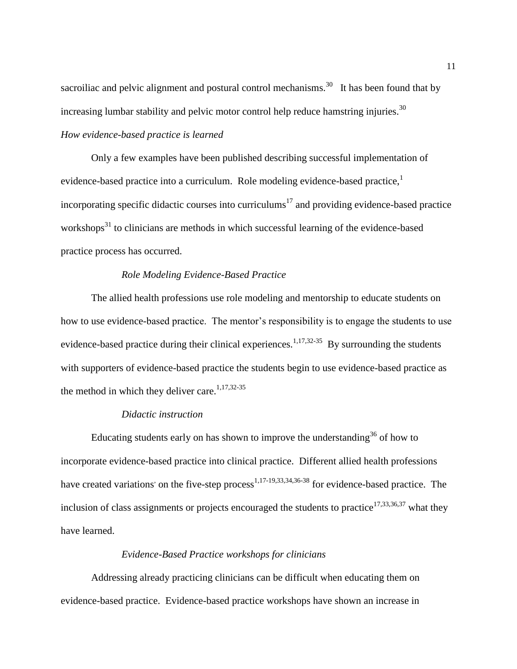sacroiliac and pelvic alignment and postural control mechanisms.<sup>30</sup> It has been found that by increasing lumbar stability and pelvic motor control help reduce hamstring injuries. $30$ 

## *How evidence-based practice is learned*

Only a few examples have been published describing successful implementation of evidence-based practice into a curriculum. Role modeling evidence-based practice,<sup>1</sup> incorporating specific didactic courses into curriculums<sup>17</sup> and providing evidence-based practice workshops $31$  to clinicians are methods in which successful learning of the evidence-based practice process has occurred.

#### *Role Modeling Evidence-Based Practice*

The allied health professions use role modeling and mentorship to educate students on how to use evidence-based practice. The mentor's responsibility is to engage the students to use evidence-based practice during their clinical experiences.<sup>1,17,32-35</sup> By surrounding the students with supporters of evidence-based practice the students begin to use evidence-based practice as the method in which they deliver care.<sup>1,17,32-35</sup>

#### *Didactic instruction*

Educating students early on has shown to improve the understanding<sup>36</sup> of how to incorporate evidence-based practice into clinical practice. Different allied health professions have created variations' on the five-step process<sup>1,17-19,33,34,36-38</sup> for evidence-based practice. The inclusion of class assignments or projects encouraged the students to practice<sup>17,33,36,37</sup> what they have learned.

#### *Evidence-Based Practice workshops for clinicians*

Addressing already practicing clinicians can be difficult when educating them on evidence-based practice. Evidence-based practice workshops have shown an increase in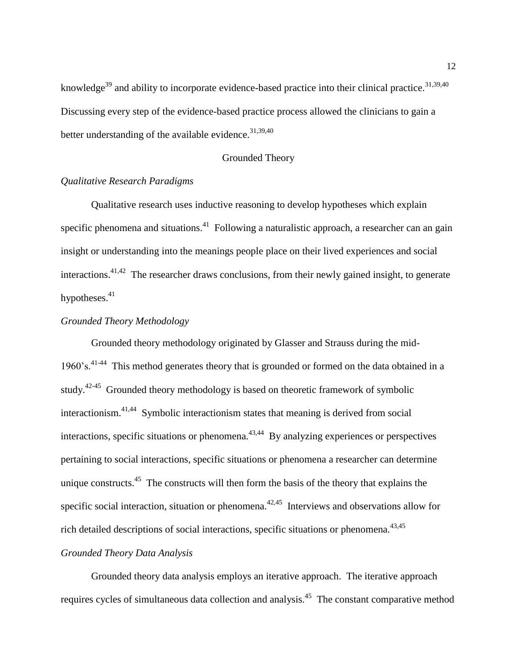knowledge<sup>39</sup> and ability to incorporate evidence-based practice into their clinical practice.<sup>31,39,40</sup> Discussing every step of the evidence-based practice process allowed the clinicians to gain a better understanding of the available evidence.  $31,39,40$ 

#### Grounded Theory

#### *Qualitative Research Paradigms*

Qualitative research uses inductive reasoning to develop hypotheses which explain specific phenomena and situations.<sup>41</sup> Following a naturalistic approach, a researcher can an gain insight or understanding into the meanings people place on their lived experiences and social interactions.<sup>41,42</sup> The researcher draws conclusions, from their newly gained insight, to generate hypotheses. $41$ 

#### *Grounded Theory Methodology*

Grounded theory methodology originated by Glasser and Strauss during the mid-1960's.<sup>41-44</sup> This method generates theory that is grounded or formed on the data obtained in a study.<sup>42-45</sup> Grounded theory methodology is based on theoretic framework of symbolic interactionism.<sup>41,44</sup> Symbolic interactionism states that meaning is derived from social interactions, specific situations or phenomena. $43,44$  By analyzing experiences or perspectives pertaining to social interactions, specific situations or phenomena a researcher can determine unique constructs. $45$  The constructs will then form the basis of the theory that explains the specific social interaction, situation or phenomena.<sup> $42,45$ </sup> Interviews and observations allow for rich detailed descriptions of social interactions, specific situations or phenomena. $43,45$ 

### *Grounded Theory Data Analysis*

Grounded theory data analysis employs an iterative approach. The iterative approach requires cycles of simultaneous data collection and analysis.<sup>45</sup> The constant comparative method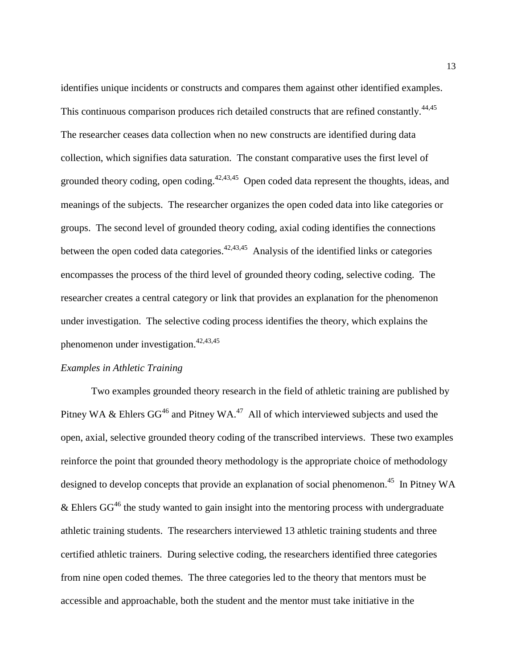identifies unique incidents or constructs and compares them against other identified examples. This continuous comparison produces rich detailed constructs that are refined constantly.<sup>44,45</sup> The researcher ceases data collection when no new constructs are identified during data collection, which signifies data saturation. The constant comparative uses the first level of grounded theory coding, open coding.<sup>42,43,45</sup> Open coded data represent the thoughts, ideas, and meanings of the subjects. The researcher organizes the open coded data into like categories or groups. The second level of grounded theory coding, axial coding identifies the connections between the open coded data categories. $42,43,45$  Analysis of the identified links or categories encompasses the process of the third level of grounded theory coding, selective coding. The researcher creates a central category or link that provides an explanation for the phenomenon under investigation. The selective coding process identifies the theory, which explains the phenomenon under investigation.<sup>42,43,45</sup>

#### *Examples in Athletic Training*

Two examples grounded theory research in the field of athletic training are published by Pitney WA & Ehlers  $GG^{46}$  and Pitney WA.<sup>47</sup> All of which interviewed subjects and used the open, axial, selective grounded theory coding of the transcribed interviews. These two examples reinforce the point that grounded theory methodology is the appropriate choice of methodology designed to develop concepts that provide an explanation of social phenomenon.<sup>45</sup> In Pitney WA & Ehlers  $GG^{46}$  the study wanted to gain insight into the mentoring process with undergraduate athletic training students. The researchers interviewed 13 athletic training students and three certified athletic trainers. During selective coding, the researchers identified three categories from nine open coded themes. The three categories led to the theory that mentors must be accessible and approachable, both the student and the mentor must take initiative in the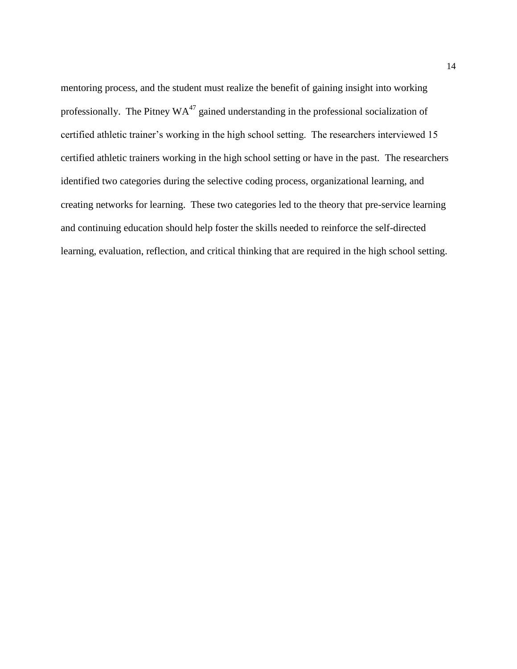mentoring process, and the student must realize the benefit of gaining insight into working professionally. The Pitney  $WA^{47}$  gained understanding in the professional socialization of certified athletic trainer's working in the high school setting. The researchers interviewed 15 certified athletic trainers working in the high school setting or have in the past. The researchers identified two categories during the selective coding process, organizational learning, and creating networks for learning. These two categories led to the theory that pre-service learning and continuing education should help foster the skills needed to reinforce the self-directed learning, evaluation, reflection, and critical thinking that are required in the high school setting.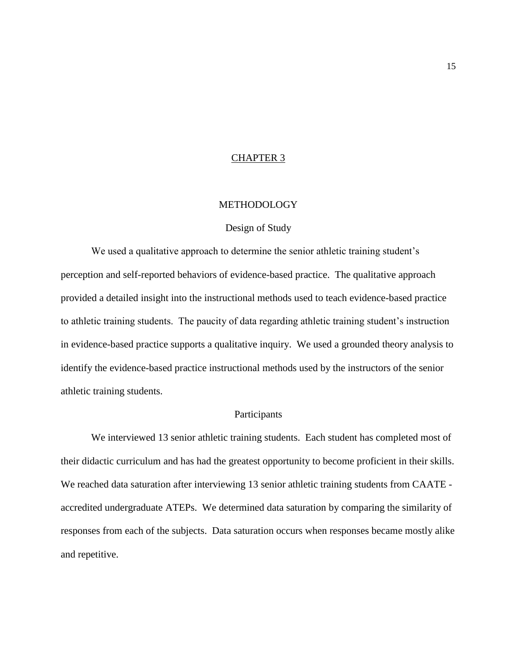#### CHAPTER 3

#### METHODOLOGY

#### Design of Study

We used a qualitative approach to determine the senior athletic training student's perception and self-reported behaviors of evidence-based practice. The qualitative approach provided a detailed insight into the instructional methods used to teach evidence-based practice to athletic training students. The paucity of data regarding athletic training student"s instruction in evidence-based practice supports a qualitative inquiry. We used a grounded theory analysis to identify the evidence-based practice instructional methods used by the instructors of the senior athletic training students.

#### Participants

We interviewed 13 senior athletic training students. Each student has completed most of their didactic curriculum and has had the greatest opportunity to become proficient in their skills. We reached data saturation after interviewing 13 senior athletic training students from CAATE accredited undergraduate ATEPs. We determined data saturation by comparing the similarity of responses from each of the subjects. Data saturation occurs when responses became mostly alike and repetitive.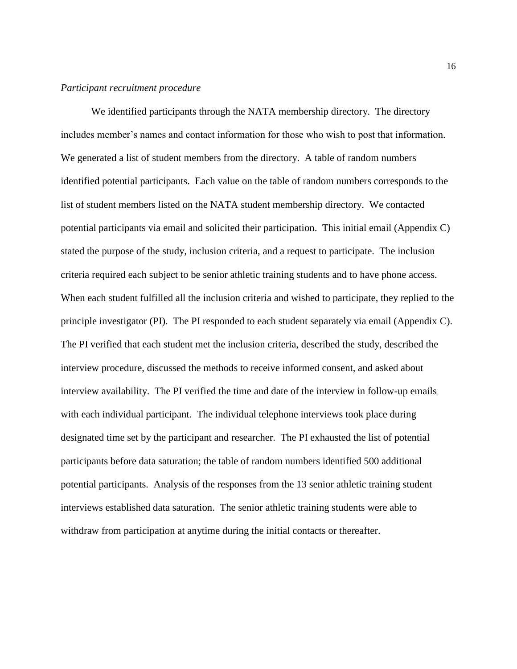#### *Participant recruitment procedure*

We identified participants through the NATA membership directory. The directory includes member"s names and contact information for those who wish to post that information. We generated a list of student members from the directory. A table of random numbers identified potential participants. Each value on the table of random numbers corresponds to the list of student members listed on the NATA student membership directory. We contacted potential participants via email and solicited their participation. This initial email (Appendix C) stated the purpose of the study, inclusion criteria, and a request to participate. The inclusion criteria required each subject to be senior athletic training students and to have phone access. When each student fulfilled all the inclusion criteria and wished to participate, they replied to the principle investigator (PI). The PI responded to each student separately via email (Appendix C). The PI verified that each student met the inclusion criteria, described the study, described the interview procedure, discussed the methods to receive informed consent, and asked about interview availability. The PI verified the time and date of the interview in follow-up emails with each individual participant. The individual telephone interviews took place during designated time set by the participant and researcher. The PI exhausted the list of potential participants before data saturation; the table of random numbers identified 500 additional potential participants. Analysis of the responses from the 13 senior athletic training student interviews established data saturation. The senior athletic training students were able to withdraw from participation at anytime during the initial contacts or thereafter.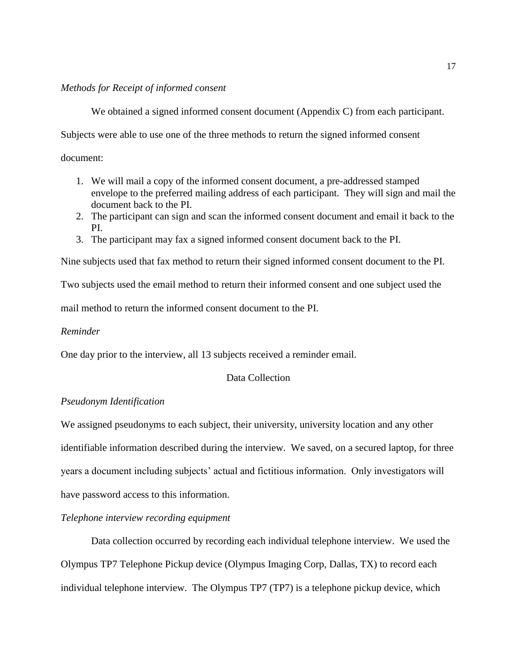#### *Methods for Receipt of informed consent*

We obtained a signed informed consent document (Appendix C) from each participant.

Subjects were able to use one of the three methods to return the signed informed consent

document:

- 1. We will mail a copy of the informed consent document, a pre-addressed stamped envelope to the preferred mailing address of each participant. They will sign and mail the document back to the PI.
- 2. The participant can sign and scan the informed consent document and email it back to the PI.
- 3. The participant may fax a signed informed consent document back to the PI.

Nine subjects used that fax method to return their signed informed consent document to the PI.

Two subjects used the email method to return their informed consent and one subject used the

mail method to return the informed consent document to the PI.

#### *Reminder*

One day prior to the interview, all 13 subjects received a reminder email.

#### Data Collection

#### *Pseudonym Identification*

We assigned pseudonyms to each subject, their university, university location and any other identifiable information described during the interview. We saved, on a secured laptop, for three years a document including subjects' actual and fictitious information. Only investigators will have password access to this information.

#### *Telephone interview recording equipment*

Data collection occurred by recording each individual telephone interview. We used the Olympus TP7 Telephone Pickup device (Olympus Imaging Corp, Dallas, TX) to record each individual telephone interview. The Olympus TP7 (TP7) is a telephone pickup device, which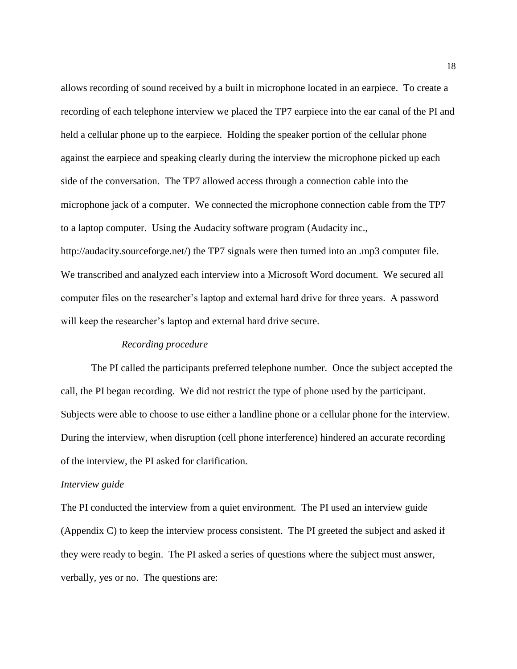allows recording of sound received by a built in microphone located in an earpiece. To create a recording of each telephone interview we placed the TP7 earpiece into the ear canal of the PI and held a cellular phone up to the earpiece. Holding the speaker portion of the cellular phone against the earpiece and speaking clearly during the interview the microphone picked up each side of the conversation. The TP7 allowed access through a connection cable into the microphone jack of a computer. We connected the microphone connection cable from the TP7 to a laptop computer. Using the Audacity software program (Audacity inc.,

http://audacity.sourceforge.net/) the TP7 signals were then turned into an .mp3 computer file. We transcribed and analyzed each interview into a Microsoft Word document. We secured all computer files on the researcher"s laptop and external hard drive for three years. A password will keep the researcher's laptop and external hard drive secure.

#### *Recording procedure*

The PI called the participants preferred telephone number. Once the subject accepted the call, the PI began recording. We did not restrict the type of phone used by the participant. Subjects were able to choose to use either a landline phone or a cellular phone for the interview. During the interview, when disruption (cell phone interference) hindered an accurate recording of the interview, the PI asked for clarification.

#### *Interview guide*

The PI conducted the interview from a quiet environment. The PI used an interview guide (Appendix C) to keep the interview process consistent. The PI greeted the subject and asked if they were ready to begin. The PI asked a series of questions where the subject must answer, verbally, yes or no. The questions are: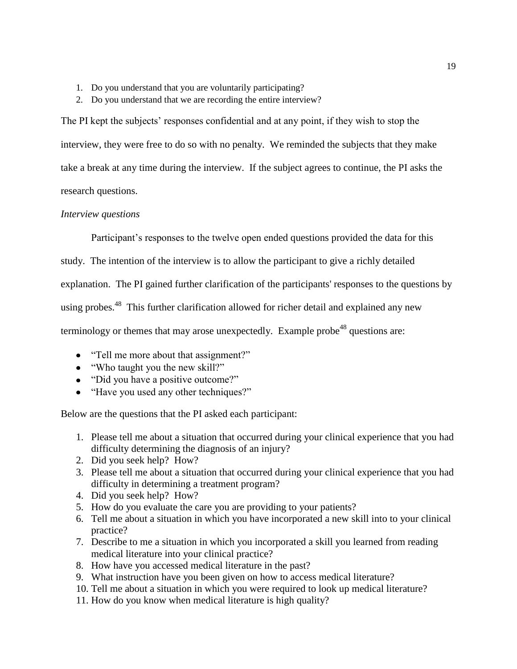- 1. Do you understand that you are voluntarily participating?
- 2. Do you understand that we are recording the entire interview?

The PI kept the subjects' responses confidential and at any point, if they wish to stop the interview, they were free to do so with no penalty. We reminded the subjects that they make take a break at any time during the interview. If the subject agrees to continue, the PI asks the research questions.

#### *Interview questions*

Participant's responses to the twelve open ended questions provided the data for this

study. The intention of the interview is to allow the participant to give a richly detailed

explanation. The PI gained further clarification of the participants' responses to the questions by

using probes.<sup>48</sup> This further clarification allowed for richer detail and explained any new

terminology or themes that may arose unexpectedly. Example probe<sup>48</sup> questions are:

- "Tell me more about that assignment?"
- "Who taught you the new skill?"
- "Did you have a positive outcome?"
- "Have you used any other techniques?"

Below are the questions that the PI asked each participant:

- 1. Please tell me about a situation that occurred during your clinical experience that you had difficulty determining the diagnosis of an injury?
- 2. Did you seek help? How?
- 3. Please tell me about a situation that occurred during your clinical experience that you had difficulty in determining a treatment program?
- 4. Did you seek help? How?
- 5. How do you evaluate the care you are providing to your patients?
- 6. Tell me about a situation in which you have incorporated a new skill into to your clinical practice?
- 7. Describe to me a situation in which you incorporated a skill you learned from reading medical literature into your clinical practice?
- 8. How have you accessed medical literature in the past?
- 9. What instruction have you been given on how to access medical literature?
- 10. Tell me about a situation in which you were required to look up medical literature?
- 11. How do you know when medical literature is high quality?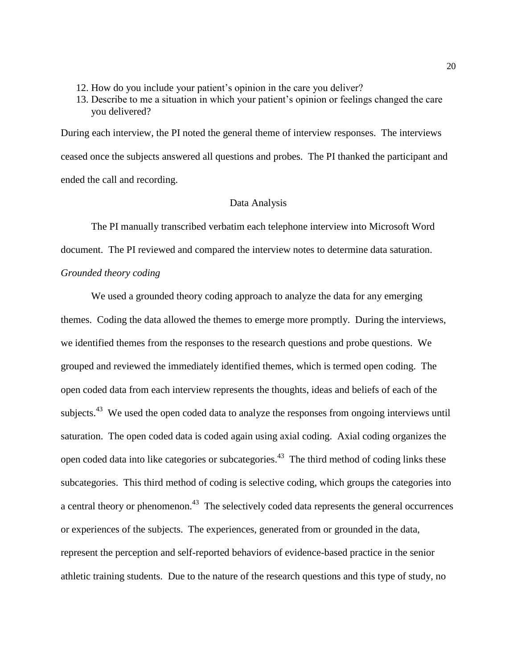- 12. How do you include your patient"s opinion in the care you deliver?
- 13. Describe to me a situation in which your patient"s opinion or feelings changed the care you delivered?

During each interview, the PI noted the general theme of interview responses. The interviews ceased once the subjects answered all questions and probes. The PI thanked the participant and ended the call and recording.

#### Data Analysis

The PI manually transcribed verbatim each telephone interview into Microsoft Word document. The PI reviewed and compared the interview notes to determine data saturation. *Grounded theory coding*

We used a grounded theory coding approach to analyze the data for any emerging themes. Coding the data allowed the themes to emerge more promptly. During the interviews, we identified themes from the responses to the research questions and probe questions. We grouped and reviewed the immediately identified themes, which is termed open coding. The open coded data from each interview represents the thoughts, ideas and beliefs of each of the subjects.<sup>43</sup> We used the open coded data to analyze the responses from ongoing interviews until saturation. The open coded data is coded again using axial coding. Axial coding organizes the open coded data into like categories or subcategories.<sup>43</sup> The third method of coding links these subcategories. This third method of coding is selective coding, which groups the categories into a central theory or phenomenon.<sup>43</sup> The selectively coded data represents the general occurrences or experiences of the subjects. The experiences, generated from or grounded in the data, represent the perception and self-reported behaviors of evidence-based practice in the senior athletic training students. Due to the nature of the research questions and this type of study, no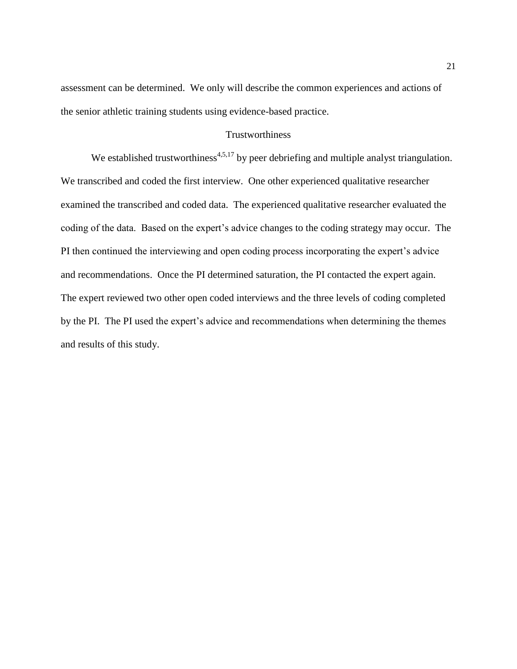assessment can be determined. We only will describe the common experiences and actions of the senior athletic training students using evidence-based practice.

#### **Trustworthiness**

We established trustworthiness<sup> $4,5,17$ </sup> by peer debriefing and multiple analyst triangulation. We transcribed and coded the first interview. One other experienced qualitative researcher examined the transcribed and coded data. The experienced qualitative researcher evaluated the coding of the data. Based on the expert's advice changes to the coding strategy may occur. The PI then continued the interviewing and open coding process incorporating the expert's advice and recommendations. Once the PI determined saturation, the PI contacted the expert again. The expert reviewed two other open coded interviews and the three levels of coding completed by the PI. The PI used the expert's advice and recommendations when determining the themes and results of this study.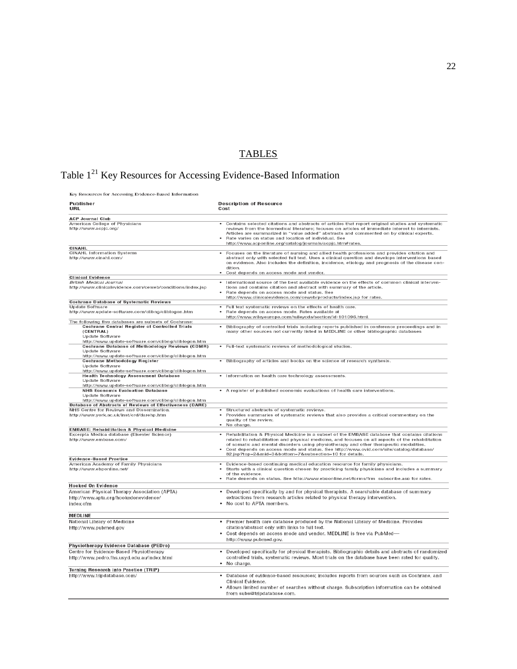## **TABLES**

## Table  $1^{21}$  Key Resources for Accessing Evidence-Based Information

Key Resources for Accessing Evidence-Based Information

| <b>Publisher</b><br>URL                                                                                                                                                                                                              | <b>Description of Resource</b><br>Cost                                                                                                                                                                                                                                                                                                                                                                                                   |  |
|--------------------------------------------------------------------------------------------------------------------------------------------------------------------------------------------------------------------------------------|------------------------------------------------------------------------------------------------------------------------------------------------------------------------------------------------------------------------------------------------------------------------------------------------------------------------------------------------------------------------------------------------------------------------------------------|--|
| <b>ACP Journal Club</b>                                                                                                                                                                                                              |                                                                                                                                                                                                                                                                                                                                                                                                                                          |  |
| American College of Physicians<br>http://www.acpjc.org/                                                                                                                                                                              | • Contains selected citations and abstracts of articles that report original studies and systematic<br>reviews from the biomedical literature; focuses on articles of immediate interest to internists.<br>Articles are summarized in "value added" abstracts and commented on by clinical experts.<br>Rate varies on status and location of individual. See<br>http://www.acponline.org/catalog/journals/acpjc.htm#rates.               |  |
| CINAHL                                                                                                                                                                                                                               |                                                                                                                                                                                                                                                                                                                                                                                                                                          |  |
| <b>CINAHL Information Systems</b><br>http://www.cinahl.com/                                                                                                                                                                          | Focuses on the literature of nursing and allied health professions and provides citation and<br>abstract only with selected full text. Uses a clinical question and develops interventions based<br>on evidence. Also includes the definition, incidence, etiology and prognosis of the disease con-<br>dition.<br>Cost depends on access mode and vendor.                                                                               |  |
| <b>Clinical Evidence</b>                                                                                                                                                                                                             |                                                                                                                                                                                                                                                                                                                                                                                                                                          |  |
| British Medical Journal<br>http://www.clinicalevidence.com/ceweb/conditions/index.jsp                                                                                                                                                | International source of the best available evidence on the effects of common clinical interven-<br>tions and contains citation and abstract with summary of the article.<br>Rate depends on access mode and status. See<br>http://www.clinicalevidence.com/ceweb/products/index.jsp for rates.                                                                                                                                           |  |
| <b>Cochrane Database of Systematic Reviews</b>                                                                                                                                                                                       |                                                                                                                                                                                                                                                                                                                                                                                                                                          |  |
| Update Software<br>http://www.update-software.com/clibng/cliblogon.htm                                                                                                                                                               | Full text systematic reviews on the effects of health care.<br>Rate depends on access mode. Rates available at<br>http://www.wileyeurope.com/wileycda/section/id-101096.html.                                                                                                                                                                                                                                                            |  |
| The following five databases are subsets of Cochrane:<br><b>Cochrane Central Register of Controlled Trials</b><br>(CENTRAL)<br><b>Update Software</b><br>http://www.update-software.com/clibng/cliblogon.htm                         | Bibliography of controlled trials including reports published in conference proceedings and in<br>many other sources not currently listed in MEDLINE or other bibliographic databases                                                                                                                                                                                                                                                    |  |
| <b>Cochrane Database of Methodology Reviews (CDMR)</b><br><b>Update Software</b><br>http://www.update-software.com/clibng/cliblogon.htm                                                                                              | • Full-text systematic reviews of methodological studies.                                                                                                                                                                                                                                                                                                                                                                                |  |
| Cochrane Methodology Register<br>Update Software                                                                                                                                                                                     | • Bibliography of articles and books on the science of research synthesis.                                                                                                                                                                                                                                                                                                                                                               |  |
| http://www.update-software.com/clibng/cliblogon.htm<br><b>Health Technology Assessment Database</b><br>Undate Software                                                                                                               | • Information on health care technology assessments.                                                                                                                                                                                                                                                                                                                                                                                     |  |
| http://www.update-software.com/clibng/cliblogon.htm<br><b>NHS Economic Evaluation Database</b><br>Undate Software<br>http://www.update-software.com/clibng/cliblogon.htm<br>Database of Abstracts of Reviews of Effectiveness (DARE) | • A register of published economic evaluations of health care interventions.                                                                                                                                                                                                                                                                                                                                                             |  |
| NHS Centre for Reviews and Dissemination.<br>http://www.york.ac.uk/inst/crd/darehp.htm                                                                                                                                               | Structured abstracts of systematic reviews.<br>Provides summaries of systematic reviews that also provides a critical commentary on the<br>quality of the review.<br>No charge.                                                                                                                                                                                                                                                          |  |
| <b>EMBASE: Rehabilitation &amp; Physical Medicine</b><br>Excerpta Medica database (Elsevier Science)<br>http://www.embase.com/                                                                                                       | • Rehabilitation & Physical Medicine is a subset of the EMBASE database that contains citations<br>related to rehabilitation and physical medicine, and focuses on all aspects of the rehabilitation<br>of somatic and mental disorders using physiotherapy and other therapeutic modalities.<br>Cost depends on access mode and status. See http://www.ovid.com/site/catalog/database/<br>82.jsp?top=2∣=3⊥=7&subsection=10 for details. |  |
| <b>Evidence-Based Practice</b>                                                                                                                                                                                                       |                                                                                                                                                                                                                                                                                                                                                                                                                                          |  |
| American Academy of Family Physicians<br>http://www.ebponline.net/                                                                                                                                                                   | Evidence-based continuing medical education resource for family physicians.<br>Starts with a clinical question chosen by practicing family physicians and includes a summary<br>of the evidence.<br>Rate depends on status. See http://www.ebponline.net/forms/frm_subscribe.asp for rates.                                                                                                                                              |  |
| <b>Hooked On Evidence</b>                                                                                                                                                                                                            |                                                                                                                                                                                                                                                                                                                                                                                                                                          |  |
| American Physical Therapy Association (APTA)<br>http://www.apta.org/hookedonevidence/<br>index.cfm                                                                                                                                   | Developed specifically by and for physical therapists. A searchable database of summary<br>extractions from research articles related to physical therapy intervention.<br>. No cost to APTA members.                                                                                                                                                                                                                                    |  |
| <b>MEDLINE</b>                                                                                                                                                                                                                       |                                                                                                                                                                                                                                                                                                                                                                                                                                          |  |
| National Library of Medicine                                                                                                                                                                                                         | • Premier health care database produced by the National Library of Medicine. Provides                                                                                                                                                                                                                                                                                                                                                    |  |
| http://www.pubmed.gov                                                                                                                                                                                                                | citation/abstract only with links to full text.<br>Cost depends on access mode and vendor. MEDLINE is free via PubMed-<br>http://www.pubmed.gov.                                                                                                                                                                                                                                                                                         |  |
| Physiotherapy Evidence Database (PEDro)                                                                                                                                                                                              |                                                                                                                                                                                                                                                                                                                                                                                                                                          |  |
| Centre for Evidence-Based Physiotherapy<br>http://www.pedro.fhs.usyd.edu.au/index.html                                                                                                                                               | • Developed specifically for physical therapists. Bibliographic details and abstracts of randomized<br>controlled trials, systematic reviews. Most trials on the database have been rated for quality.<br>• No charge.                                                                                                                                                                                                                   |  |
| Turning Research into Practice (TRIP)                                                                                                                                                                                                |                                                                                                                                                                                                                                                                                                                                                                                                                                          |  |
| http://www.tripdatabase.com/                                                                                                                                                                                                         | Database of evidence-based resources; includes reports from sources such as Cochrane, and<br>Clinical Evidence.<br>Allows limited number of searches without charge. Subscription information can be obtained<br>from subs@tripdatabase.com.                                                                                                                                                                                             |  |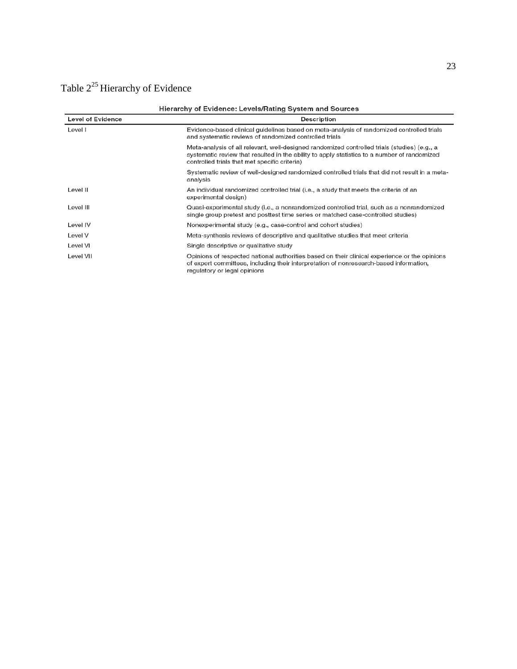# Table  $2^{25}$  Hierarchy of Evidence

| Hierarchy of Evidence: Levels/Rating System and Sources |                                                                                                                                                                                                                                               |  |
|---------------------------------------------------------|-----------------------------------------------------------------------------------------------------------------------------------------------------------------------------------------------------------------------------------------------|--|
| <b>Level of Evidence</b>                                | Description                                                                                                                                                                                                                                   |  |
| Level I                                                 | Evidence-based clinical guidelines based on meta-analysis of randomized controlled trials<br>and systematic reviews of randomized controlled trials                                                                                           |  |
|                                                         | Meta-analysis of all relevant, well-designed randomized controlled trials (studies) (e.g., a<br>systematic review that resulted in the ability to apply statistics to a number of randomized<br>controlled trials that met specific criteria) |  |
|                                                         | Systematic review of well-designed randomized controlled trials that did not result in a meta-<br>analysis                                                                                                                                    |  |
| Level II                                                | An individual randomized controlled trial (i.e., a study that meets the criteria of an<br>experimental design)                                                                                                                                |  |
| Level III                                               | Quasi-experimental study (i.e., a nonrandomized controlled trial, such as a nonrandomized<br>single group pretest and posttest time series or matched case-controlled studies)                                                                |  |
| Level IV                                                | Nonexperimental study (e.g., case-control and cohort studies)                                                                                                                                                                                 |  |
| Level V                                                 | Meta-synthesis reviews of descriptive and qualitative studies that meet criteria                                                                                                                                                              |  |
| Level VI                                                | Single descriptive or qualitative study                                                                                                                                                                                                       |  |
| Level VII                                               | Opinions of respected national authorities based on their clinical experience or the opinions<br>of expert committees, including their interpretation of nonresearch-based information,<br>regulatory or legal opinions                       |  |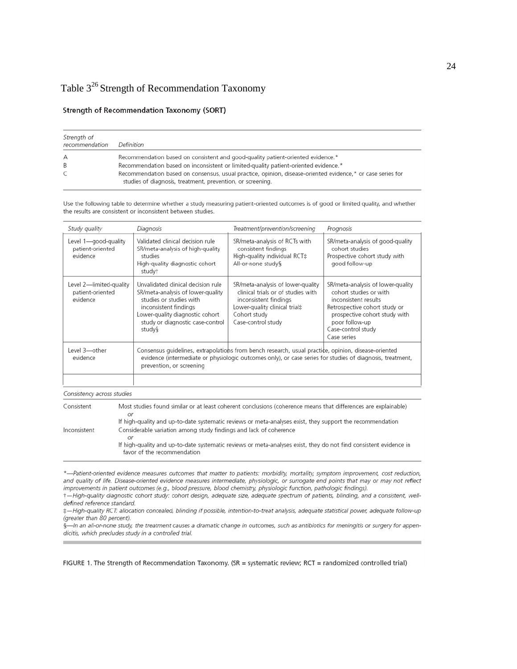## Table  $3^{26}$  Strength of Recommendation Taxonomy

#### **Strength of Recommendation Taxonomy (SORT)**

| Strength of<br>recommendation | Definition                                                                                                                                                               |
|-------------------------------|--------------------------------------------------------------------------------------------------------------------------------------------------------------------------|
| А                             | Recommendation based on consistent and good-quality patient-oriented evidence.*                                                                                          |
| B                             | Recommendation based on inconsistent or limited-quality patient-oriented evidence.*                                                                                      |
| C                             | Recommendation based on consensus, usual practice, opinion, disease-oriented evidence,* or case series for<br>studies of diagnosis, treatment, prevention, or screening. |

Use the following table to determine whether a study measuring patient-oriented outcomes is of good or limited quality, and whether the results are consistent or inconsistent between studies.

| Study quality                                           | Diagnosis                                                                                                                                                                                                                                    | Treatment/prevention/screening                                                                                                                                          | Prognosis                                                                                                                                                                                                    |
|---------------------------------------------------------|----------------------------------------------------------------------------------------------------------------------------------------------------------------------------------------------------------------------------------------------|-------------------------------------------------------------------------------------------------------------------------------------------------------------------------|--------------------------------------------------------------------------------------------------------------------------------------------------------------------------------------------------------------|
| Level 1—good-guality<br>patient-oriented<br>evidence    | Validated clinical decision rule<br>SR/meta-analysis of high-quality<br>studies<br>High-quality diagnostic cohort<br>study†                                                                                                                  | SR/meta-analysis of RCTs with<br>consistent findings<br>High-quality individual RCT#<br>All-or-none study§                                                              | SR/meta-analysis of good-quality<br>cohort studies<br>Prospective cohort study with<br>good follow-up                                                                                                        |
| Level 2-limited-quality<br>patient-oriented<br>evidence | Unvalidated clinical decision rule<br>SR/meta-analysis of lower-quality<br>studies or studies with<br>inconsistent findings<br>Lower-quality diagnostic cohort<br>study or diagnostic case-control<br>study§                                 | SR/meta-analysis of lower-quality<br>clinical trials or of studies with<br>inconsistent findings<br>Lower-quality clinical trial‡<br>Cohort study<br>Case-control study | SR/meta-analysis of lower-quality<br>cohort studies or with<br>inconsistent results<br>Retrospective cohort study or<br>prospective cohort study with<br>poor follow-up<br>Case-control study<br>Case series |
| Level 3-other<br>evidence                               | Consensus guidelines, extrapolations from bench research, usual practice, opinion, disease-oriented<br>evidence (intermediate or physiologic outcomes only), or case series for studies of diagnosis, treatment,<br>prevention, or screening |                                                                                                                                                                         |                                                                                                                                                                                                              |
|                                                         |                                                                                                                                                                                                                                              |                                                                                                                                                                         |                                                                                                                                                                                                              |

Consistency across studies

| Consistent   | Most studies found similar or at least coherent conclusions (coherence means that differences are explainable)<br>Οľ                             |
|--------------|--------------------------------------------------------------------------------------------------------------------------------------------------|
|              | If high-quality and up-to-date systematic reviews or meta-analyses exist, they support the recommendation                                        |
| Inconsistent | Considerable variation among study findings and lack of coherence<br>ΟI                                                                          |
|              | If high-quality and up-to-date systematic reviews or meta-analyses exist, they do not find consistent evidence in<br>favor of the recommendation |

\*-Patient-oriented evidence measures outcomes that matter to patients: morbidity, mortality, symptom improvement, cost reduction, and quality of life. Disease-oriented evidence measures intermediate, physiologic, or surrogate end points that may or may not reflect improvements in patient outcomes (e.g., blood pressure, blood chemistry, physiologic function, pathologic findings).

+-High-quality diagnostic cohort study: cohort design, adequate size, adequate spectrum of patients, blinding, and a consistent, welldefined reference standard.

:- High-quality RCT: allocation concealed, blinding if possible, intention-to-treat analysis, adequate statistical power, adequate follow-up (greater than 80 percent).

§-In an all-or-none study, the treatment causes a dramatic change in outcomes, such as antibiotics for meningitis or surgery for appendicitis, which precludes study in a controlled trial.

FIGURE 1. The Strength of Recommendation Taxonomy. (SR = systematic review; RCT = randomized controlled trial)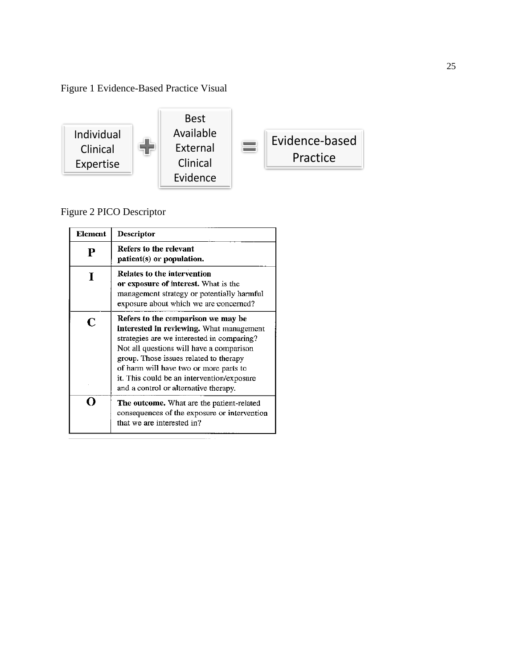Figure 1 Evidence-Based Practice Visual



. . . . . . .

Figure 2 PICO Descriptor

| Element | Descriptor                                                                                                                                                                                                                                                                                                                                                 |
|---------|------------------------------------------------------------------------------------------------------------------------------------------------------------------------------------------------------------------------------------------------------------------------------------------------------------------------------------------------------------|
| Р       | Refers to the relevant<br>patient(s) or population.                                                                                                                                                                                                                                                                                                        |
|         | Relates to the intervention<br>or exposure of interest. What is the<br>management strategy or potentially harmful<br>exposure about which we are concerned?                                                                                                                                                                                                |
| C       | Refers to the comparison we may be<br><b>interested in reviewing.</b> What management<br>strategies are we interested in comparing?<br>Not all questions will have a comparison<br>group. Those issues related to therapy<br>of harm will have two or more parts to<br>it. This could be an intervention/exposure<br>and a control or alternative therapy. |
|         | The outcome. What are the patient-related<br>consequences of the exposure or intervention<br>that we are interested in?                                                                                                                                                                                                                                    |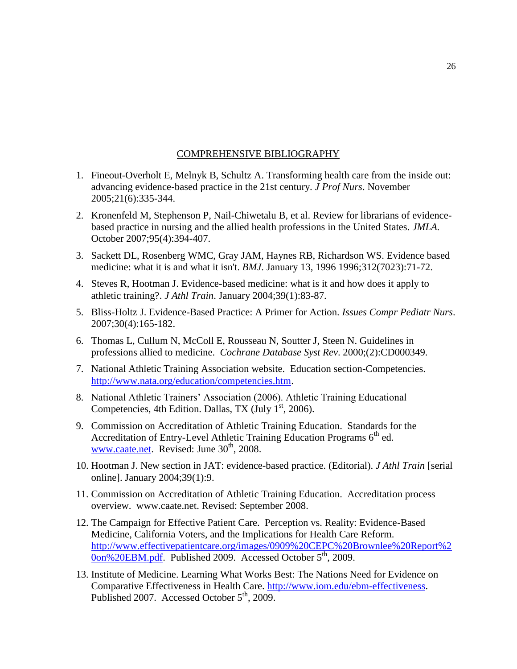#### COMPREHENSIVE BIBLIOGRAPHY

- 1. Fineout-Overholt E, Melnyk B, Schultz A. Transforming health care from the inside out: advancing evidence-based practice in the 21st century. *J Prof Nurs*. November 2005;21(6):335-344.
- 2. Kronenfeld M, Stephenson P, Nail-Chiwetalu B, et al. Review for librarians of evidencebased practice in nursing and the allied health professions in the United States. *JMLA.* October 2007;95(4):394-407.
- 3. Sackett DL, Rosenberg WMC, Gray JAM, Haynes RB, Richardson WS. Evidence based medicine: what it is and what it isn't. *BMJ*. January 13, 1996 1996;312(7023):71-72.
- 4. Steves R, Hootman J. Evidence-based medicine: what is it and how does it apply to athletic training?. *J Athl Train*. January 2004;39(1):83-87.
- 5. Bliss-Holtz J. Evidence-Based Practice: A Primer for Action. *Issues Compr Pediatr Nurs*. 2007;30(4):165-182.
- 6. Thomas L, Cullum N, McColl E, Rousseau N, Soutter J, Steen N. Guidelines in professions allied to medicine. *Cochrane Database Syst Rev*. 2000;(2):CD000349.
- 7. National Athletic Training Association website. Education section-Competencies. [http://www.nata.org/education/competencies.htm.](http://www.nata.org/education/competencies.htm)
- 8. National Athletic Trainers" Association (2006). Athletic Training Educational Competencies, 4th Edition. Dallas, TX (July  $1<sup>st</sup>$ , 2006).
- 9. Commission on Accreditation of Athletic Training Education. Standards for the Accreditation of Entry-Level Athletic Training Education Programs  $6<sup>th</sup>$  ed. [www.caate.net.](http://www.caate.net/) Revised: June 30<sup>th</sup>, 2008.
- 10. Hootman J. New section in JAT: evidence-based practice. (Editorial). *J Athl Train* [serial online]. January 2004;39(1):9.
- 11. Commission on Accreditation of Athletic Training Education. Accreditation process overview. www.caate.net. Revised: September 2008.
- 12. The Campaign for Effective Patient Care. Perception vs. Reality: Evidence-Based Medicine, California Voters, and the Implications for Health Care Reform. [http://www.effectivepatientcare.org/images/0909%20CEPC%20Brownlee%20Report%2](http://www.effectivepatientcare.org/images/0909%20CEPC%20Brownlee%20Report%20on%20EBM.pdf)  $0$ on%20EBM.pdf. Published 2009. Accessed October  $5<sup>th</sup>$ , 2009.
- 13. Institute of Medicine. Learning What Works Best: The Nations Need for Evidence on Comparative Effectiveness in Health Care. [http://www.iom.edu/ebm-effectiveness.](http://www.iom.edu/ebm-effectiveness) Published 2007. Accessed October 5<sup>th</sup>, 2009.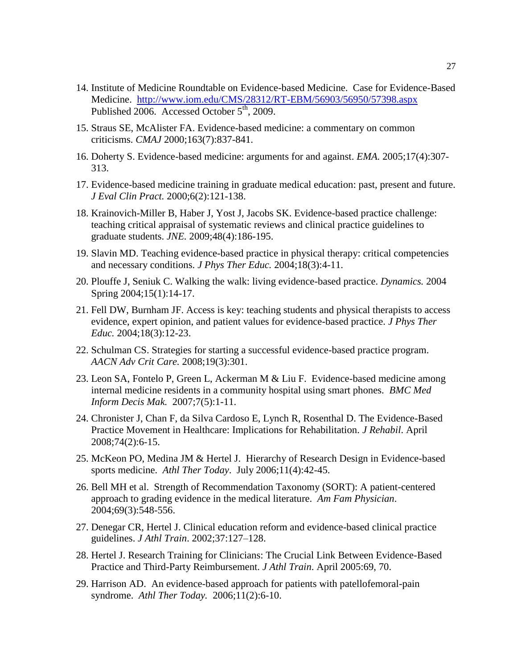- 14. Institute of Medicine Roundtable on Evidence-based Medicine. Case for Evidence-Based Medicine. <http://www.iom.edu/CMS/28312/RT-EBM/56903/56950/57398.aspx> Published 2006. Accessed October  $5<sup>th</sup>$ , 2009.
- 15. Straus SE, McAlister FA. Evidence-based medicine: a commentary on common criticisms. *CMAJ* 2000;163(7):837-841.
- 16. Doherty S. Evidence-based medicine: arguments for and against. *EMA.* 2005;17(4):307- 313.
- 17. Evidence-based medicine training in graduate medical education: past, present and future. *J Eval Clin Pract.* 2000;6(2):121-138.
- 18. Krainovich-Miller B, Haber J, Yost J, Jacobs SK. Evidence-based practice challenge: teaching critical appraisal of systematic reviews and clinical practice guidelines to graduate students. *JNE.* 2009;48(4):186-195.
- 19. Slavin MD. Teaching evidence-based practice in physical therapy: critical competencies and necessary conditions. *J Phys Ther Educ.* 2004;18(3):4-11.
- 20. Plouffe J, Seniuk C. Walking the walk: living evidence-based practice. *Dynamics.* 2004 Spring 2004;15(1):14-17.
- 21. Fell DW, Burnham JF. Access is key: teaching students and physical therapists to access evidence, expert opinion, and patient values for evidence-based practice. *J Phys Ther Educ.* 2004;18(3):12-23.
- 22. Schulman CS. Strategies for starting a successful evidence-based practice program. *AACN Adv Crit Care.* 2008;19(3):301.
- 23. Leon SA, Fontelo P, Green L, Ackerman M & Liu F. Evidence-based medicine among internal medicine residents in a community hospital using smart phones. *BMC Med Inform Decis Mak.* 2007;7(5):1-11.
- 24. Chronister J, Chan F, da Silva Cardoso E, Lynch R, Rosenthal D. The Evidence-Based Practice Movement in Healthcare: Implications for Rehabilitation. *J Rehabil*. April 2008;74(2):6-15.
- 25. McKeon PO, Medina JM & Hertel J. Hierarchy of Research Design in Evidence-based sports medicine. *Athl Ther Today*. July 2006;11(4):42-45.
- 26. Bell MH et al. Strength of Recommendation Taxonomy (SORT): A patient-centered approach to grading evidence in the medical literature. *Am Fam Physician*. 2004;69(3):548-556.
- 27. Denegar CR, Hertel J. Clinical education reform and evidence-based clinical practice guidelines. *J Athl Train*. 2002;37:127–128.
- 28. Hertel J. Research Training for Clinicians: The Crucial Link Between Evidence-Based Practice and Third-Party Reimbursement. *J Athl Train*. April 2005:69, 70.
- 29. Harrison AD. An evidence-based approach for patients with patellofemoral-pain syndrome. *Athl Ther Today.* 2006;11(2):6-10.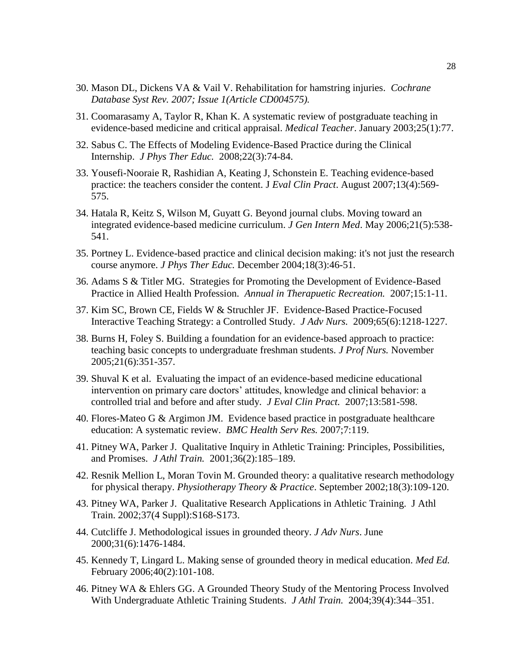- 30. Mason DL, Dickens VA & Vail V. Rehabilitation for hamstring injuries. *Cochrane Database Syst Rev. 2007; Issue 1(Article CD004575).*
- 31. Coomarasamy A, Taylor R, Khan K. A systematic review of postgraduate teaching in evidence-based medicine and critical appraisal. *Medical Teacher*. January 2003;25(1):77.
- 32. Sabus C. The Effects of Modeling Evidence-Based Practice during the Clinical Internship. *J Phys Ther Educ.* 2008;22(3):74-84.
- 33. Yousefi-Nooraie R, Rashidian A, Keating J, Schonstein E. Teaching evidence-based practice: the teachers consider the content. J *Eval Clin Pract*. August 2007;13(4):569- 575.
- 34. Hatala R, Keitz S, Wilson M, Guyatt G. Beyond journal clubs. Moving toward an integrated evidence-based medicine curriculum. *J Gen Intern Med*. May 2006;21(5):538- 541.
- 35. Portney L. Evidence-based practice and clinical decision making: it's not just the research course anymore. *J Phys Ther Educ.* December 2004;18(3):46-51.
- 36. Adams S & Titler MG. Strategies for Promoting the Development of Evidence-Based Practice in Allied Health Profession. *Annual in Therapuetic Recreation.* 2007;15:1-11.
- 37. Kim SC, Brown CE, Fields W & Struchler JF. Evidence-Based Practice-Focused Interactive Teaching Strategy: a Controlled Study. *J Adv Nurs.* 2009;65(6):1218-1227.
- 38. Burns H, Foley S. Building a foundation for an evidence-based approach to practice: teaching basic concepts to undergraduate freshman students. *J Prof Nurs.* November 2005;21(6):351-357.
- 39. Shuval K et al. Evaluating the impact of an evidence-based medicine educational intervention on primary care doctors' attitudes, knowledge and clinical behavior: a controlled trial and before and after study. *J Eval Clin Pract.* 2007;13:581-598.
- 40. Flores-Mateo G & Argimon JM. Evidence based practice in postgraduate healthcare education: A systematic review. *BMC Health Serv Res.* 2007;7:119.
- 41. Pitney WA, Parker J. Qualitative Inquiry in Athletic Training: Principles, Possibilities, and Promises. *J Athl Train.* 2001;36(2):185–189.
- 42. Resnik Mellion L, Moran Tovin M. Grounded theory: a qualitative research methodology for physical therapy. *Physiotherapy Theory & Practice*. September 2002;18(3):109-120.
- 43. Pitney WA, Parker J. Qualitative Research Applications in Athletic Training. J Athl Train. 2002;37(4 Suppl):S168-S173.
- 44. Cutcliffe J. Methodological issues in grounded theory. *J Adv Nurs*. June 2000;31(6):1476-1484.
- 45. Kennedy T, Lingard L. Making sense of grounded theory in medical education. *Med Ed.* February 2006;40(2):101-108.
- 46. Pitney WA & Ehlers GG. A Grounded Theory Study of the Mentoring Process Involved With Undergraduate Athletic Training Students. *J Athl Train.* 2004;39(4):344–351.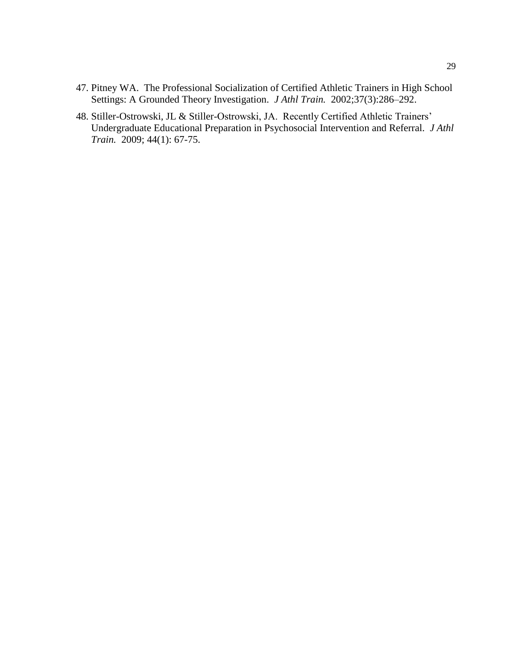- 47. Pitney WA. The Professional Socialization of Certified Athletic Trainers in High School Settings: A Grounded Theory Investigation. *J Athl Train.* 2002;37(3):286–292.
- 48. Stiller-Ostrowski, JL & Stiller-Ostrowski, JA. Recently Certified Athletic Trainers" Undergraduate Educational Preparation in Psychosocial Intervention and Referral. *J Athl Train.* 2009; 44(1): 67-75.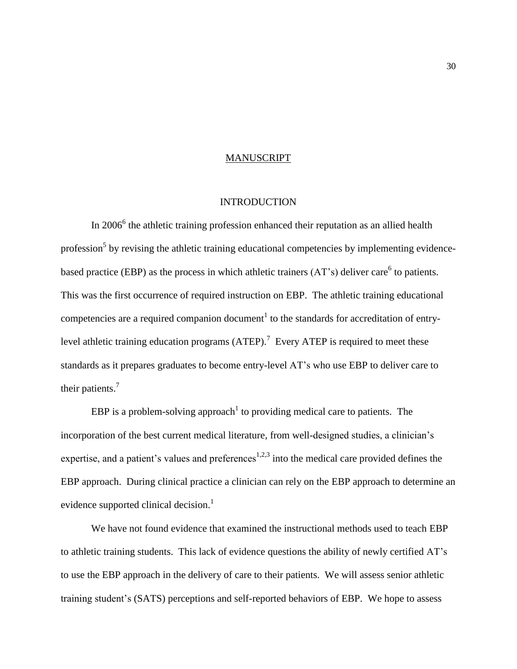### MANUSCRIPT

# **INTRODUCTION**

In  $2006^6$  the athletic training profession enhanced their reputation as an allied health profession<sup>5</sup> by revising the athletic training educational competencies by implementing evidencebased practice (EBP) as the process in which athletic trainers  $(AT's)$  deliver care<sup>6</sup> to patients. This was the first occurrence of required instruction on EBP. The athletic training educational competencies are a required companion document<sup>1</sup> to the standards for accreditation of entrylevel athletic training education programs (ATEP).<sup>7</sup> Every ATEP is required to meet these standards as it prepares graduates to become entry-level AT"s who use EBP to deliver care to their patients.<sup>7</sup>

EBP is a problem-solving approach<sup>1</sup> to providing medical care to patients. The incorporation of the best current medical literature, from well-designed studies, a clinician's expertise, and a patient's values and preferences<sup>1,2,3</sup> into the medical care provided defines the EBP approach. During clinical practice a clinician can rely on the EBP approach to determine an evidence supported clinical decision.<sup>1</sup>

We have not found evidence that examined the instructional methods used to teach EBP to athletic training students. This lack of evidence questions the ability of newly certified AT"s to use the EBP approach in the delivery of care to their patients. We will assess senior athletic training student"s (SATS) perceptions and self-reported behaviors of EBP. We hope to assess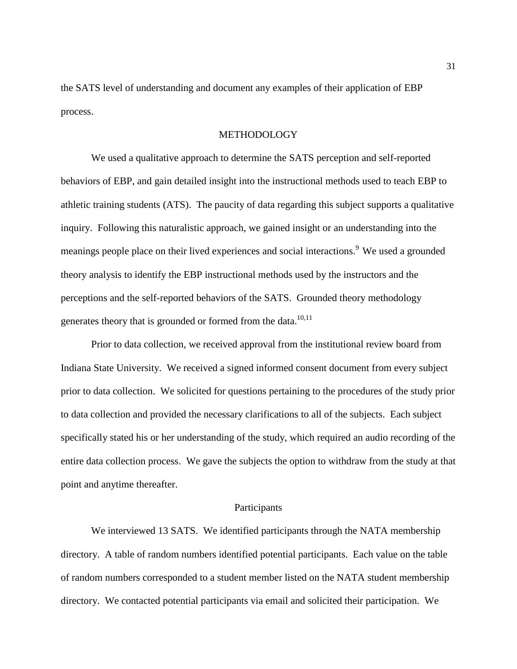the SATS level of understanding and document any examples of their application of EBP process.

# METHODOLOGY

We used a qualitative approach to determine the SATS perception and self-reported behaviors of EBP, and gain detailed insight into the instructional methods used to teach EBP to athletic training students (ATS). The paucity of data regarding this subject supports a qualitative inquiry. Following this naturalistic approach, we gained insight or an understanding into the meanings people place on their lived experiences and social interactions.<sup>9</sup> We used a grounded theory analysis to identify the EBP instructional methods used by the instructors and the perceptions and the self-reported behaviors of the SATS. Grounded theory methodology generates theory that is grounded or formed from the data.<sup>10,11</sup>

Prior to data collection, we received approval from the institutional review board from Indiana State University. We received a signed informed consent document from every subject prior to data collection. We solicited for questions pertaining to the procedures of the study prior to data collection and provided the necessary clarifications to all of the subjects. Each subject specifically stated his or her understanding of the study, which required an audio recording of the entire data collection process. We gave the subjects the option to withdraw from the study at that point and anytime thereafter.

### Participants

We interviewed 13 SATS. We identified participants through the NATA membership directory. A table of random numbers identified potential participants. Each value on the table of random numbers corresponded to a student member listed on the NATA student membership directory. We contacted potential participants via email and solicited their participation. We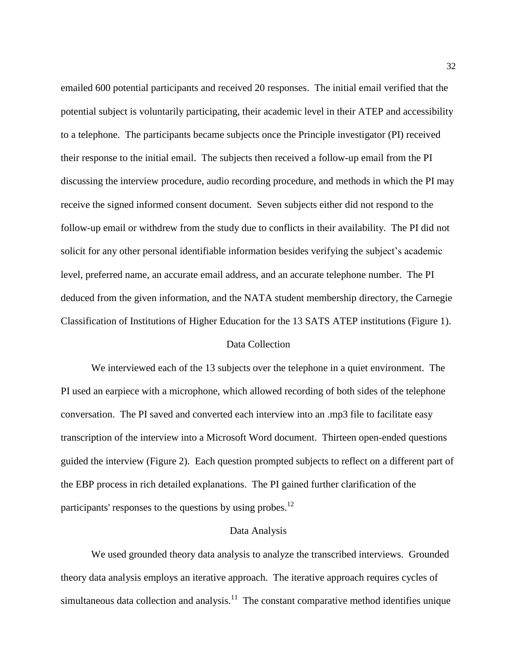emailed 600 potential participants and received 20 responses. The initial email verified that the potential subject is voluntarily participating, their academic level in their ATEP and accessibility to a telephone. The participants became subjects once the Principle investigator (PI) received their response to the initial email. The subjects then received a follow-up email from the PI discussing the interview procedure, audio recording procedure, and methods in which the PI may receive the signed informed consent document. Seven subjects either did not respond to the follow-up email or withdrew from the study due to conflicts in their availability. The PI did not solicit for any other personal identifiable information besides verifying the subject's academic level, preferred name, an accurate email address, and an accurate telephone number. The PI deduced from the given information, and the NATA student membership directory, the Carnegie Classification of Institutions of Higher Education for the 13 SATS ATEP institutions (Figure 1).

### Data Collection

We interviewed each of the 13 subjects over the telephone in a quiet environment. The PI used an earpiece with a microphone, which allowed recording of both sides of the telephone conversation. The PI saved and converted each interview into an .mp3 file to facilitate easy transcription of the interview into a Microsoft Word document. Thirteen open-ended questions guided the interview (Figure 2). Each question prompted subjects to reflect on a different part of the EBP process in rich detailed explanations. The PI gained further clarification of the participants' responses to the questions by using probes. $^{12}$ 

### Data Analysis

We used grounded theory data analysis to analyze the transcribed interviews. Grounded theory data analysis employs an iterative approach. The iterative approach requires cycles of simultaneous data collection and analysis.<sup>11</sup> The constant comparative method identifies unique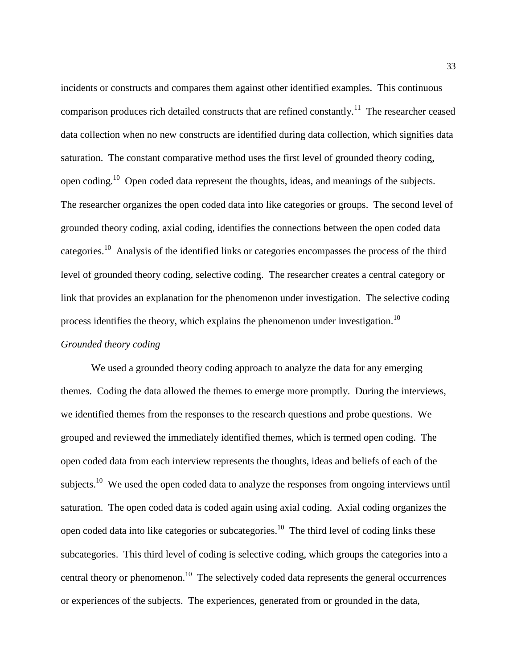incidents or constructs and compares them against other identified examples. This continuous comparison produces rich detailed constructs that are refined constantly.<sup>11</sup> The researcher ceased data collection when no new constructs are identified during data collection, which signifies data saturation. The constant comparative method uses the first level of grounded theory coding, open coding.<sup>10</sup> Open coded data represent the thoughts, ideas, and meanings of the subjects. The researcher organizes the open coded data into like categories or groups. The second level of grounded theory coding, axial coding, identifies the connections between the open coded data categories.<sup>10</sup> Analysis of the identified links or categories encompasses the process of the third level of grounded theory coding, selective coding. The researcher creates a central category or link that provides an explanation for the phenomenon under investigation. The selective coding process identifies the theory, which explains the phenomenon under investigation.<sup>10</sup>

# *Grounded theory coding*

We used a grounded theory coding approach to analyze the data for any emerging themes. Coding the data allowed the themes to emerge more promptly. During the interviews, we identified themes from the responses to the research questions and probe questions. We grouped and reviewed the immediately identified themes, which is termed open coding. The open coded data from each interview represents the thoughts, ideas and beliefs of each of the subjects.<sup>10</sup> We used the open coded data to analyze the responses from ongoing interviews until saturation. The open coded data is coded again using axial coding. Axial coding organizes the open coded data into like categories or subcategories.<sup>10</sup> The third level of coding links these subcategories. This third level of coding is selective coding, which groups the categories into a central theory or phenomenon.<sup>10</sup> The selectively coded data represents the general occurrences or experiences of the subjects. The experiences, generated from or grounded in the data,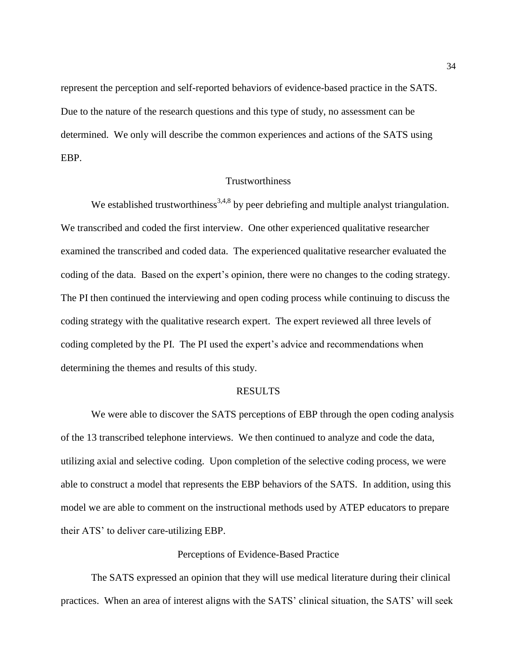represent the perception and self-reported behaviors of evidence-based practice in the SATS. Due to the nature of the research questions and this type of study, no assessment can be determined. We only will describe the common experiences and actions of the SATS using EBP.

## Trustworthiness

We established trustworthiness<sup>3,4,8</sup> by peer debriefing and multiple analyst triangulation. We transcribed and coded the first interview. One other experienced qualitative researcher examined the transcribed and coded data. The experienced qualitative researcher evaluated the coding of the data. Based on the expert's opinion, there were no changes to the coding strategy. The PI then continued the interviewing and open coding process while continuing to discuss the coding strategy with the qualitative research expert. The expert reviewed all three levels of coding completed by the PI. The PI used the expert's advice and recommendations when determining the themes and results of this study.

### RESULTS

We were able to discover the SATS perceptions of EBP through the open coding analysis of the 13 transcribed telephone interviews. We then continued to analyze and code the data, utilizing axial and selective coding. Upon completion of the selective coding process, we were able to construct a model that represents the EBP behaviors of the SATS. In addition, using this model we are able to comment on the instructional methods used by ATEP educators to prepare their ATS" to deliver care-utilizing EBP.

### Perceptions of Evidence-Based Practice

The SATS expressed an opinion that they will use medical literature during their clinical practices. When an area of interest aligns with the SATS" clinical situation, the SATS" will seek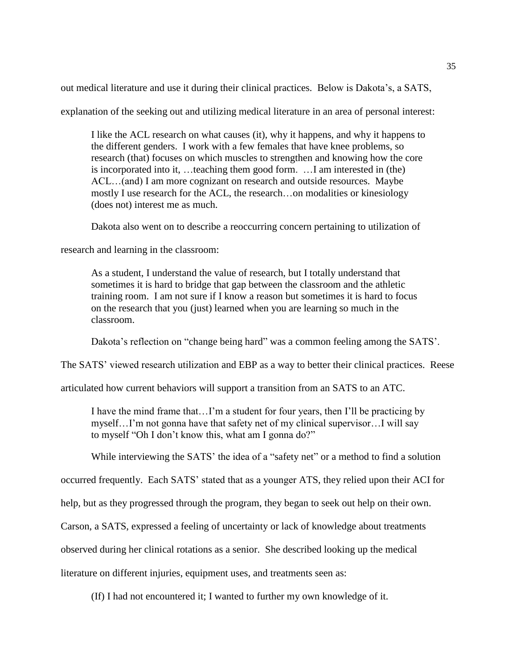out medical literature and use it during their clinical practices. Below is Dakota"s, a SATS,

explanation of the seeking out and utilizing medical literature in an area of personal interest:

I like the ACL research on what causes (it), why it happens, and why it happens to the different genders. I work with a few females that have knee problems, so research (that) focuses on which muscles to strengthen and knowing how the core is incorporated into it, …teaching them good form. …I am interested in (the) ACL...(and) I am more cognizant on research and outside resources. Maybe mostly I use research for the ACL, the research…on modalities or kinesiology (does not) interest me as much.

Dakota also went on to describe a reoccurring concern pertaining to utilization of

research and learning in the classroom:

As a student, I understand the value of research, but I totally understand that sometimes it is hard to bridge that gap between the classroom and the athletic training room. I am not sure if I know a reason but sometimes it is hard to focus on the research that you (just) learned when you are learning so much in the classroom.

Dakota's reflection on "change being hard" was a common feeling among the SATS'.

The SATS' viewed research utilization and EBP as a way to better their clinical practices. Reese

articulated how current behaviors will support a transition from an SATS to an ATC.

I have the mind frame that…I"m a student for four years, then I"ll be practicing by myself…I"m not gonna have that safety net of my clinical supervisor…I will say to myself "Oh I don"t know this, what am I gonna do?"

While interviewing the SATS' the idea of a "safety net" or a method to find a solution

occurred frequently. Each SATS" stated that as a younger ATS, they relied upon their ACI for

help, but as they progressed through the program, they began to seek out help on their own.

Carson, a SATS, expressed a feeling of uncertainty or lack of knowledge about treatments

observed during her clinical rotations as a senior. She described looking up the medical

literature on different injuries, equipment uses, and treatments seen as:

(If) I had not encountered it; I wanted to further my own knowledge of it.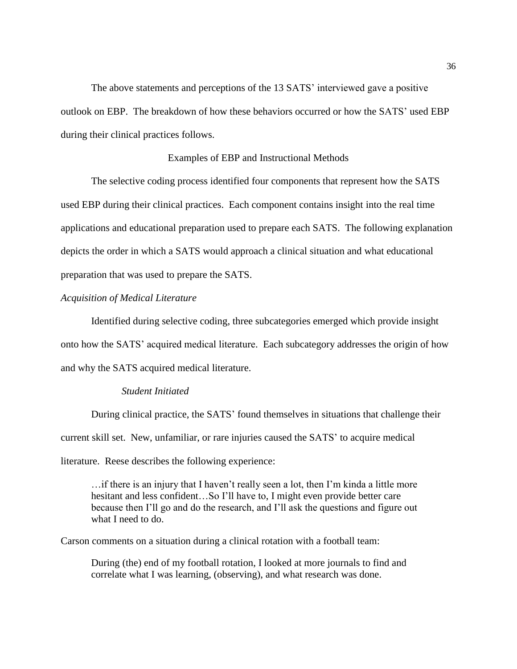The above statements and perceptions of the 13 SATS' interviewed gave a positive outlook on EBP. The breakdown of how these behaviors occurred or how the SATS" used EBP during their clinical practices follows.

### Examples of EBP and Instructional Methods

The selective coding process identified four components that represent how the SATS used EBP during their clinical practices. Each component contains insight into the real time applications and educational preparation used to prepare each SATS. The following explanation depicts the order in which a SATS would approach a clinical situation and what educational preparation that was used to prepare the SATS.

### *Acquisition of Medical Literature*

Identified during selective coding, three subcategories emerged which provide insight onto how the SATS" acquired medical literature. Each subcategory addresses the origin of how and why the SATS acquired medical literature.

# *Student Initiated*

During clinical practice, the SATS" found themselves in situations that challenge their current skill set. New, unfamiliar, or rare injuries caused the SATS" to acquire medical literature. Reese describes the following experience:

…if there is an injury that I haven"t really seen a lot, then I"m kinda a little more hesitant and less confident...So I'll have to, I might even provide better care because then I"ll go and do the research, and I"ll ask the questions and figure out what I need to do.

Carson comments on a situation during a clinical rotation with a football team:

During (the) end of my football rotation, I looked at more journals to find and correlate what I was learning, (observing), and what research was done.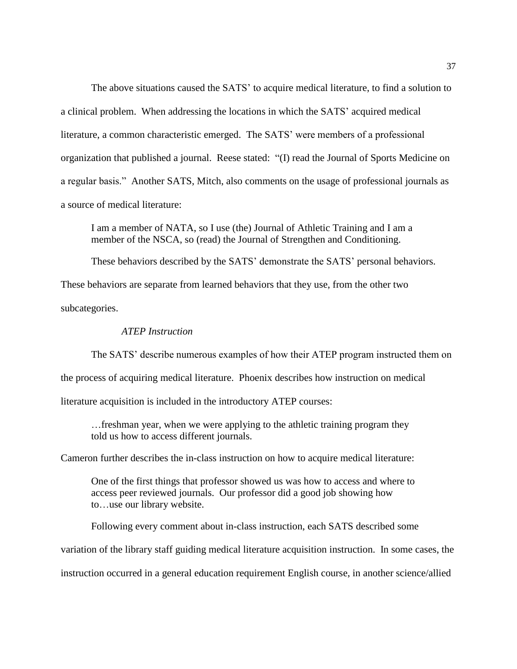The above situations caused the SATS' to acquire medical literature, to find a solution to a clinical problem. When addressing the locations in which the SATS" acquired medical literature, a common characteristic emerged. The SATS' were members of a professional organization that published a journal. Reese stated: "(I) read the Journal of Sports Medicine on a regular basis." Another SATS, Mitch, also comments on the usage of professional journals as a source of medical literature:

I am a member of NATA, so I use (the) Journal of Athletic Training and I am a member of the NSCA, so (read) the Journal of Strengthen and Conditioning.

These behaviors described by the SATS" demonstrate the SATS" personal behaviors.

These behaviors are separate from learned behaviors that they use, from the other two subcategories.

# *ATEP Instruction*

The SATS' describe numerous examples of how their ATEP program instructed them on the process of acquiring medical literature. Phoenix describes how instruction on medical literature acquisition is included in the introductory ATEP courses:

…freshman year, when we were applying to the athletic training program they told us how to access different journals.

Cameron further describes the in-class instruction on how to acquire medical literature:

One of the first things that professor showed us was how to access and where to access peer reviewed journals. Our professor did a good job showing how to…use our library website.

Following every comment about in-class instruction, each SATS described some variation of the library staff guiding medical literature acquisition instruction. In some cases, the instruction occurred in a general education requirement English course, in another science/allied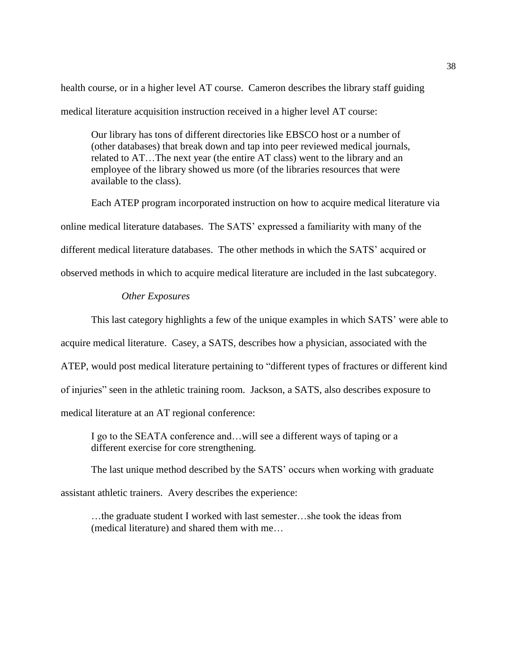health course, or in a higher level AT course. Cameron describes the library staff guiding medical literature acquisition instruction received in a higher level AT course:

Our library has tons of different directories like EBSCO host or a number of (other databases) that break down and tap into peer reviewed medical journals, related to AT…The next year (the entire AT class) went to the library and an employee of the library showed us more (of the libraries resources that were available to the class).

Each ATEP program incorporated instruction on how to acquire medical literature via online medical literature databases. The SATS" expressed a familiarity with many of the different medical literature databases. The other methods in which the SATS" acquired or observed methods in which to acquire medical literature are included in the last subcategory.

### *Other Exposures*

This last category highlights a few of the unique examples in which SATS" were able to

acquire medical literature. Casey, a SATS, describes how a physician, associated with the

ATEP, would post medical literature pertaining to "different types of fractures or different kind

of injuries" seen in the athletic training room. Jackson, a SATS, also describes exposure to

medical literature at an AT regional conference:

I go to the SEATA conference and…will see a different ways of taping or a different exercise for core strengthening.

The last unique method described by the SATS' occurs when working with graduate

assistant athletic trainers. Avery describes the experience:

…the graduate student I worked with last semester…she took the ideas from (medical literature) and shared them with me…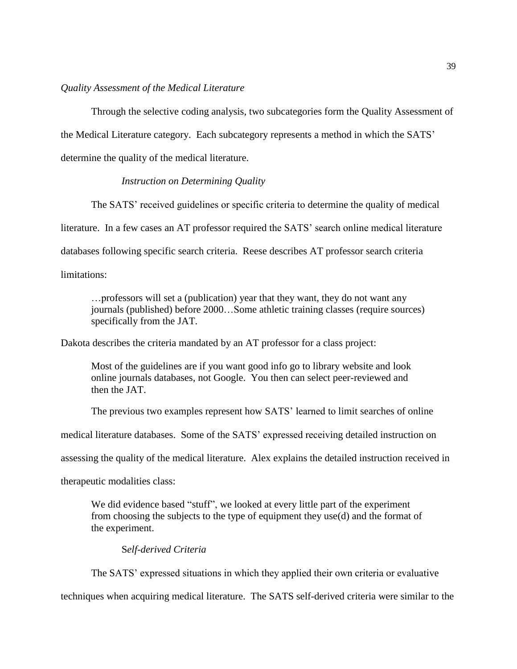## *Quality Assessment of the Medical Literature*

Through the selective coding analysis, two subcategories form the Quality Assessment of the Medical Literature category. Each subcategory represents a method in which the SATS" determine the quality of the medical literature.

### *Instruction on Determining Quality*

The SATS' received guidelines or specific criteria to determine the quality of medical literature. In a few cases an AT professor required the SATS' search online medical literature databases following specific search criteria. Reese describes AT professor search criteria limitations:

…professors will set a (publication) year that they want, they do not want any journals (published) before 2000…Some athletic training classes (require sources) specifically from the JAT.

Dakota describes the criteria mandated by an AT professor for a class project:

Most of the guidelines are if you want good info go to library website and look online journals databases, not Google. You then can select peer-reviewed and then the JAT.

The previous two examples represent how SATS' learned to limit searches of online

medical literature databases. Some of the SATS" expressed receiving detailed instruction on

assessing the quality of the medical literature. Alex explains the detailed instruction received in

therapeutic modalities class:

We did evidence based "stuff", we looked at every little part of the experiment from choosing the subjects to the type of equipment they use(d) and the format of the experiment.

### S*elf-derived Criteria*

The SATS' expressed situations in which they applied their own criteria or evaluative techniques when acquiring medical literature. The SATS self-derived criteria were similar to the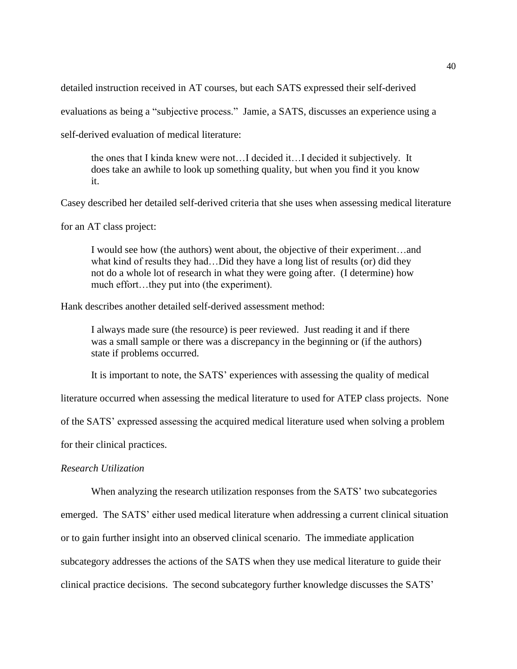detailed instruction received in AT courses, but each SATS expressed their self-derived

evaluations as being a "subjective process." Jamie, a SATS, discusses an experience using a

self-derived evaluation of medical literature:

the ones that I kinda knew were not…I decided it…I decided it subjectively. It does take an awhile to look up something quality, but when you find it you know it.

Casey described her detailed self-derived criteria that she uses when assessing medical literature

for an AT class project:

I would see how (the authors) went about, the objective of their experiment…and what kind of results they had…Did they have a long list of results (or) did they not do a whole lot of research in what they were going after. (I determine) how much effort...they put into (the experiment).

Hank describes another detailed self-derived assessment method:

I always made sure (the resource) is peer reviewed. Just reading it and if there was a small sample or there was a discrepancy in the beginning or (if the authors) state if problems occurred.

It is important to note, the SATS' experiences with assessing the quality of medical

literature occurred when assessing the medical literature to used for ATEP class projects. None

of the SATS" expressed assessing the acquired medical literature used when solving a problem

for their clinical practices.

### *Research Utilization*

When analyzing the research utilization responses from the SATS' two subcategories

emerged. The SATS' either used medical literature when addressing a current clinical situation or to gain further insight into an observed clinical scenario. The immediate application subcategory addresses the actions of the SATS when they use medical literature to guide their clinical practice decisions. The second subcategory further knowledge discusses the SATS"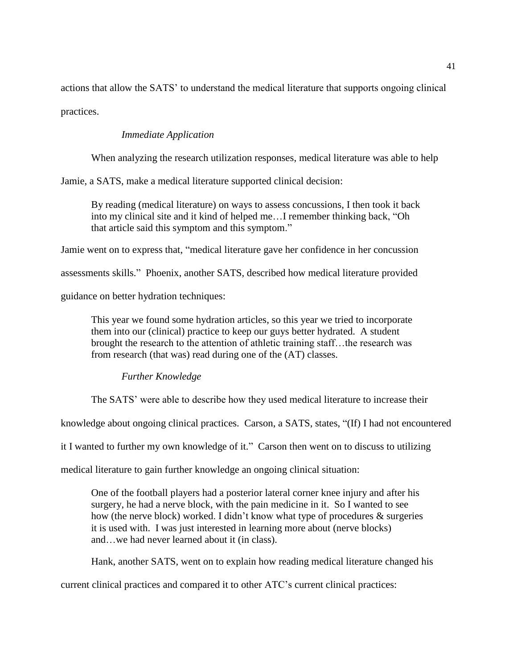actions that allow the SATS" to understand the medical literature that supports ongoing clinical practices.

# *Immediate Application*

When analyzing the research utilization responses, medical literature was able to help

Jamie, a SATS, make a medical literature supported clinical decision:

By reading (medical literature) on ways to assess concussions, I then took it back into my clinical site and it kind of helped me…I remember thinking back, "Oh that article said this symptom and this symptom."

Jamie went on to express that, "medical literature gave her confidence in her concussion

assessments skills." Phoenix, another SATS, described how medical literature provided

guidance on better hydration techniques:

This year we found some hydration articles, so this year we tried to incorporate them into our (clinical) practice to keep our guys better hydrated. A student brought the research to the attention of athletic training staff...the research was from research (that was) read during one of the (AT) classes.

# *Further Knowledge*

The SATS' were able to describe how they used medical literature to increase their

knowledge about ongoing clinical practices. Carson, a SATS, states, "(If) I had not encountered

it I wanted to further my own knowledge of it." Carson then went on to discuss to utilizing

medical literature to gain further knowledge an ongoing clinical situation:

One of the football players had a posterior lateral corner knee injury and after his surgery, he had a nerve block, with the pain medicine in it. So I wanted to see how (the nerve block) worked. I didn"t know what type of procedures & surgeries it is used with. I was just interested in learning more about (nerve blocks) and…we had never learned about it (in class).

Hank, another SATS, went on to explain how reading medical literature changed his

current clinical practices and compared it to other ATC"s current clinical practices: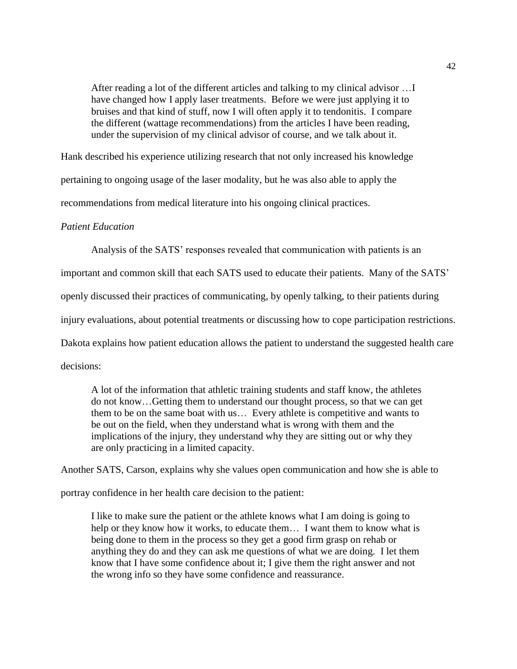After reading a lot of the different articles and talking to my clinical advisor …I have changed how I apply laser treatments. Before we were just applying it to bruises and that kind of stuff, now I will often apply it to tendonitis. I compare the different (wattage recommendations) from the articles I have been reading, under the supervision of my clinical advisor of course, and we talk about it.

Hank described his experience utilizing research that not only increased his knowledge pertaining to ongoing usage of the laser modality, but he was also able to apply the recommendations from medical literature into his ongoing clinical practices.

### *Patient Education*

Analysis of the SATS" responses revealed that communication with patients is an

important and common skill that each SATS used to educate their patients. Many of the SATS"

openly discussed their practices of communicating, by openly talking, to their patients during

injury evaluations, about potential treatments or discussing how to cope participation restrictions.

Dakota explains how patient education allows the patient to understand the suggested health care

decisions:

A lot of the information that athletic training students and staff know, the athletes do not know…Getting them to understand our thought process, so that we can get them to be on the same boat with us… Every athlete is competitive and wants to be out on the field, when they understand what is wrong with them and the implications of the injury, they understand why they are sitting out or why they are only practicing in a limited capacity.

Another SATS, Carson, explains why she values open communication and how she is able to

portray confidence in her health care decision to the patient:

I like to make sure the patient or the athlete knows what I am doing is going to help or they know how it works, to educate them... I want them to know what is being done to them in the process so they get a good firm grasp on rehab or anything they do and they can ask me questions of what we are doing. I let them know that I have some confidence about it; I give them the right answer and not the wrong info so they have some confidence and reassurance.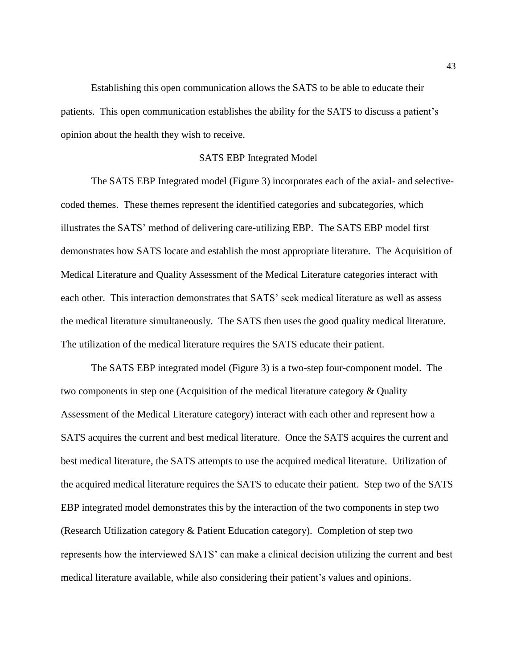Establishing this open communication allows the SATS to be able to educate their patients. This open communication establishes the ability for the SATS to discuss a patient"s opinion about the health they wish to receive.

### SATS EBP Integrated Model

The SATS EBP Integrated model (Figure 3) incorporates each of the axial- and selectivecoded themes. These themes represent the identified categories and subcategories, which illustrates the SATS" method of delivering care-utilizing EBP. The SATS EBP model first demonstrates how SATS locate and establish the most appropriate literature. The Acquisition of Medical Literature and Quality Assessment of the Medical Literature categories interact with each other. This interaction demonstrates that SATS' seek medical literature as well as assess the medical literature simultaneously. The SATS then uses the good quality medical literature. The utilization of the medical literature requires the SATS educate their patient.

The SATS EBP integrated model (Figure 3) is a two-step four-component model. The two components in step one (Acquisition of the medical literature category & Quality Assessment of the Medical Literature category) interact with each other and represent how a SATS acquires the current and best medical literature. Once the SATS acquires the current and best medical literature, the SATS attempts to use the acquired medical literature. Utilization of the acquired medical literature requires the SATS to educate their patient. Step two of the SATS EBP integrated model demonstrates this by the interaction of the two components in step two (Research Utilization category & Patient Education category). Completion of step two represents how the interviewed SATS" can make a clinical decision utilizing the current and best medical literature available, while also considering their patient's values and opinions.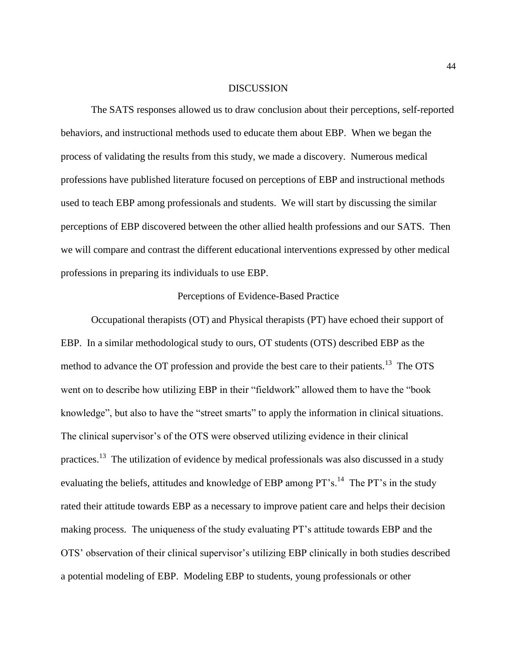### **DISCUSSION**

The SATS responses allowed us to draw conclusion about their perceptions, self-reported behaviors, and instructional methods used to educate them about EBP. When we began the process of validating the results from this study, we made a discovery. Numerous medical professions have published literature focused on perceptions of EBP and instructional methods used to teach EBP among professionals and students. We will start by discussing the similar perceptions of EBP discovered between the other allied health professions and our SATS. Then we will compare and contrast the different educational interventions expressed by other medical professions in preparing its individuals to use EBP.

### Perceptions of Evidence-Based Practice

Occupational therapists (OT) and Physical therapists (PT) have echoed their support of EBP. In a similar methodological study to ours, OT students (OTS) described EBP as the method to advance the OT profession and provide the best care to their patients.<sup>13</sup> The OTS went on to describe how utilizing EBP in their "fieldwork" allowed them to have the "book knowledge", but also to have the "street smarts" to apply the information in clinical situations. The clinical supervisor's of the OTS were observed utilizing evidence in their clinical practices.<sup>13</sup> The utilization of evidence by medical professionals was also discussed in a study evaluating the beliefs, attitudes and knowledge of EBP among PT's.<sup>14</sup> The PT's in the study rated their attitude towards EBP as a necessary to improve patient care and helps their decision making process. The uniqueness of the study evaluating PT"s attitude towards EBP and the OTS" observation of their clinical supervisor"s utilizing EBP clinically in both studies described a potential modeling of EBP. Modeling EBP to students, young professionals or other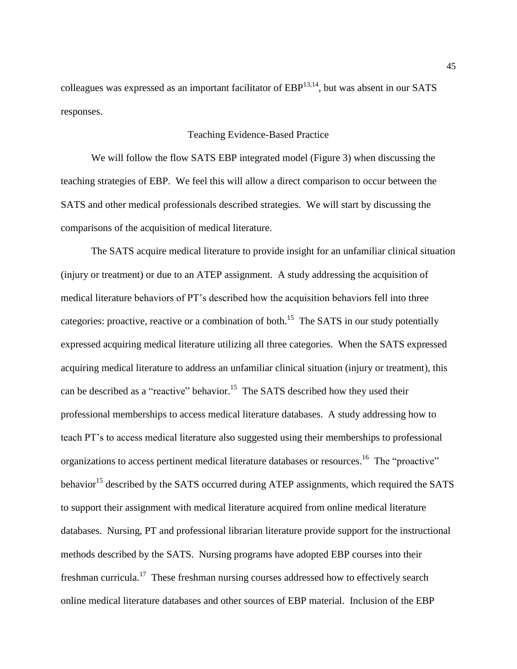colleagues was expressed as an important facilitator of  $EBP^{13,14}$ , but was absent in our SATS responses.

# Teaching Evidence-Based Practice

We will follow the flow SATS EBP integrated model (Figure 3) when discussing the teaching strategies of EBP. We feel this will allow a direct comparison to occur between the SATS and other medical professionals described strategies. We will start by discussing the comparisons of the acquisition of medical literature.

The SATS acquire medical literature to provide insight for an unfamiliar clinical situation (injury or treatment) or due to an ATEP assignment. A study addressing the acquisition of medical literature behaviors of PT"s described how the acquisition behaviors fell into three categories: proactive, reactive or a combination of both.<sup>15</sup> The SATS in our study potentially expressed acquiring medical literature utilizing all three categories. When the SATS expressed acquiring medical literature to address an unfamiliar clinical situation (injury or treatment), this can be described as a "reactive" behavior.<sup>15</sup> The SATS described how they used their professional memberships to access medical literature databases. A study addressing how to teach PT"s to access medical literature also suggested using their memberships to professional organizations to access pertinent medical literature databases or resources.<sup>16</sup> The "proactive" behavior<sup>15</sup> described by the SATS occurred during ATEP assignments, which required the SATS to support their assignment with medical literature acquired from online medical literature databases. Nursing, PT and professional librarian literature provide support for the instructional methods described by the SATS. Nursing programs have adopted EBP courses into their freshman curricula.<sup>17</sup> These freshman nursing courses addressed how to effectively search online medical literature databases and other sources of EBP material. Inclusion of the EBP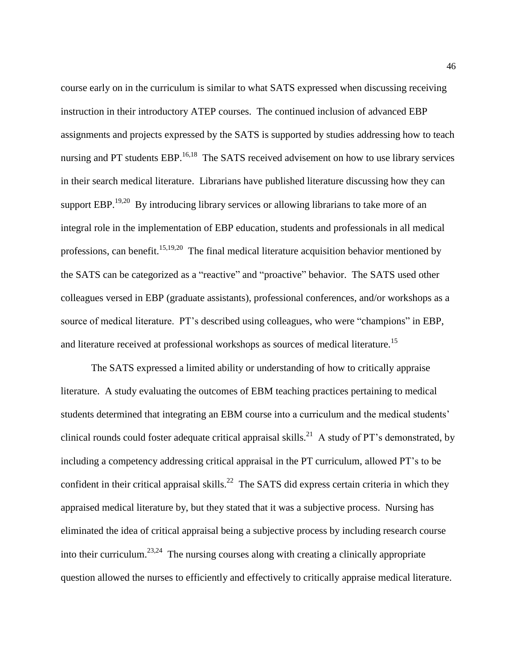course early on in the curriculum is similar to what SATS expressed when discussing receiving instruction in their introductory ATEP courses. The continued inclusion of advanced EBP assignments and projects expressed by the SATS is supported by studies addressing how to teach nursing and PT students  $EBP$ <sup>16,18</sup> The SATS received advisement on how to use library services in their search medical literature. Librarians have published literature discussing how they can support EBP.<sup>19,20</sup> By introducing library services or allowing librarians to take more of an integral role in the implementation of EBP education, students and professionals in all medical professions, can benefit.<sup>15,19,20</sup> The final medical literature acquisition behavior mentioned by the SATS can be categorized as a "reactive" and "proactive" behavior. The SATS used other colleagues versed in EBP (graduate assistants), professional conferences, and/or workshops as a source of medical literature. PT"s described using colleagues, who were "champions" in EBP, and literature received at professional workshops as sources of medical literature.<sup>15</sup>

The SATS expressed a limited ability or understanding of how to critically appraise literature. A study evaluating the outcomes of EBM teaching practices pertaining to medical students determined that integrating an EBM course into a curriculum and the medical students' clinical rounds could foster adequate critical appraisal skills.<sup>21</sup> A study of PT's demonstrated, by including a competency addressing critical appraisal in the PT curriculum, allowed PT"s to be confident in their critical appraisal skills.<sup>22</sup> The SATS did express certain criteria in which they appraised medical literature by, but they stated that it was a subjective process. Nursing has eliminated the idea of critical appraisal being a subjective process by including research course into their curriculum.<sup>23,24</sup> The nursing courses along with creating a clinically appropriate question allowed the nurses to efficiently and effectively to critically appraise medical literature.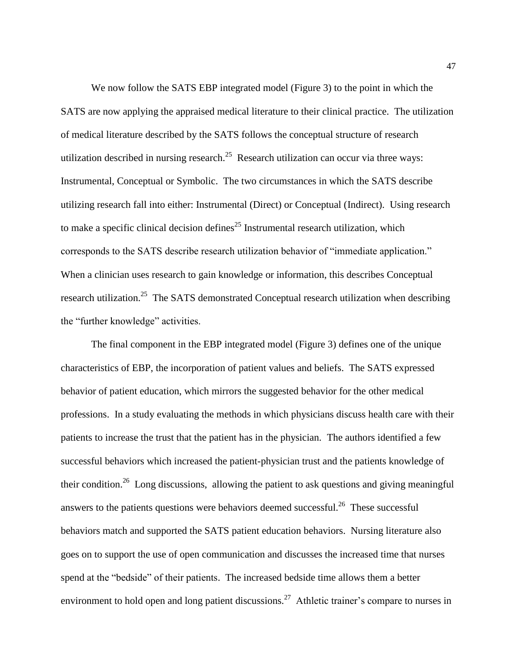We now follow the SATS EBP integrated model (Figure 3) to the point in which the SATS are now applying the appraised medical literature to their clinical practice. The utilization of medical literature described by the SATS follows the conceptual structure of research utilization described in nursing research.<sup>25</sup> Research utilization can occur via three ways: Instrumental, Conceptual or Symbolic. The two circumstances in which the SATS describe utilizing research fall into either: Instrumental (Direct) or Conceptual (Indirect). Using research to make a specific clinical decision defines<sup>25</sup> Instrumental research utilization, which corresponds to the SATS describe research utilization behavior of "immediate application." When a clinician uses research to gain knowledge or information, this describes Conceptual research utilization.<sup>25</sup> The SATS demonstrated Conceptual research utilization when describing the "further knowledge" activities.

The final component in the EBP integrated model (Figure 3) defines one of the unique characteristics of EBP, the incorporation of patient values and beliefs. The SATS expressed behavior of patient education, which mirrors the suggested behavior for the other medical professions. In a study evaluating the methods in which physicians discuss health care with their patients to increase the trust that the patient has in the physician. The authors identified a few successful behaviors which increased the patient-physician trust and the patients knowledge of their condition.<sup>26</sup> Long discussions, allowing the patient to ask questions and giving meaningful answers to the patients questions were behaviors deemed successful.<sup>26</sup> These successful behaviors match and supported the SATS patient education behaviors. Nursing literature also goes on to support the use of open communication and discusses the increased time that nurses spend at the "bedside" of their patients. The increased bedside time allows them a better environment to hold open and long patient discussions.<sup>27</sup> Athletic trainer's compare to nurses in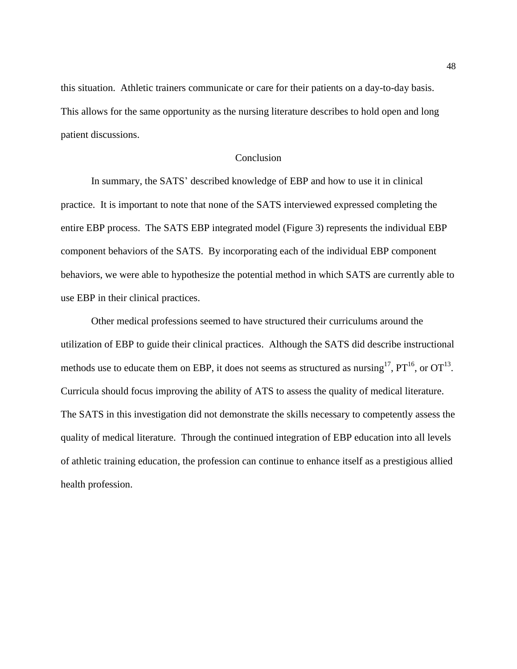this situation. Athletic trainers communicate or care for their patients on a day-to-day basis. This allows for the same opportunity as the nursing literature describes to hold open and long patient discussions.

# Conclusion

In summary, the SATS" described knowledge of EBP and how to use it in clinical practice. It is important to note that none of the SATS interviewed expressed completing the entire EBP process. The SATS EBP integrated model (Figure 3) represents the individual EBP component behaviors of the SATS. By incorporating each of the individual EBP component behaviors, we were able to hypothesize the potential method in which SATS are currently able to use EBP in their clinical practices.

Other medical professions seemed to have structured their curriculums around the utilization of EBP to guide their clinical practices. Although the SATS did describe instructional methods use to educate them on EBP, it does not seems as structured as nursing<sup>17</sup>,  $PT^{16}$ , or  $OT^{13}$ . Curricula should focus improving the ability of ATS to assess the quality of medical literature. The SATS in this investigation did not demonstrate the skills necessary to competently assess the quality of medical literature. Through the continued integration of EBP education into all levels of athletic training education, the profession can continue to enhance itself as a prestigious allied health profession.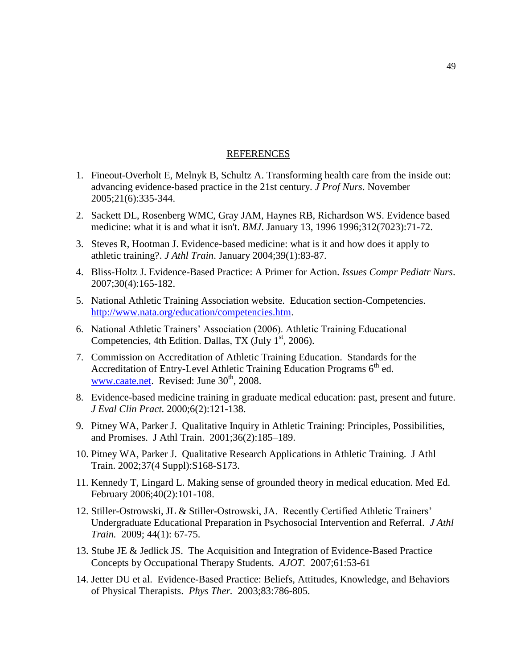### REFERENCES

- 1. Fineout-Overholt E, Melnyk B, Schultz A. Transforming health care from the inside out: advancing evidence-based practice in the 21st century. *J Prof Nurs*. November 2005;21(6):335-344.
- 2. Sackett DL, Rosenberg WMC, Gray JAM, Haynes RB, Richardson WS. Evidence based medicine: what it is and what it isn't. *BMJ*. January 13, 1996 1996;312(7023):71-72.
- 3. Steves R, Hootman J. Evidence-based medicine: what is it and how does it apply to athletic training?. *J Athl Train*. January 2004;39(1):83-87.
- 4. Bliss-Holtz J. Evidence-Based Practice: A Primer for Action. *Issues Compr Pediatr Nurs*. 2007;30(4):165-182.
- 5. National Athletic Training Association website. Education section-Competencies. [http://www.nata.org/education/competencies.htm.](http://www.nata.org/education/competencies.htm)
- 6. National Athletic Trainers" Association (2006). Athletic Training Educational Competencies, 4th Edition. Dallas, TX (July  $1<sup>st</sup>$ , 2006).
- 7. Commission on Accreditation of Athletic Training Education. Standards for the Accreditation of Entry-Level Athletic Training Education Programs  $6<sup>th</sup>$  ed. [www.caate.net.](http://www.caate.net/) Revised: June  $30<sup>th</sup>$ , 2008.
- 8. Evidence-based medicine training in graduate medical education: past, present and future. *J Eval Clin Pract.* 2000;6(2):121-138.
- 9. Pitney WA, Parker J. Qualitative Inquiry in Athletic Training: Principles, Possibilities, and Promises. J Athl Train. 2001;36(2):185–189.
- 10. Pitney WA, Parker J. Qualitative Research Applications in Athletic Training. J Athl Train. 2002;37(4 Suppl):S168-S173.
- 11. Kennedy T, Lingard L. Making sense of grounded theory in medical education. Med Ed. February 2006;40(2):101-108.
- 12. Stiller-Ostrowski, JL & Stiller-Ostrowski, JA. Recently Certified Athletic Trainers" Undergraduate Educational Preparation in Psychosocial Intervention and Referral. *J Athl Train.* 2009; 44(1): 67-75.
- 13. Stube JE & Jedlick JS. The Acquisition and Integration of Evidence-Based Practice Concepts by Occupational Therapy Students. *AJOT.* 2007;61:53-61
- 14. Jetter DU et al. Evidence-Based Practice: Beliefs, Attitudes, Knowledge, and Behaviors of Physical Therapists. *Phys Ther.* 2003;83:786-805.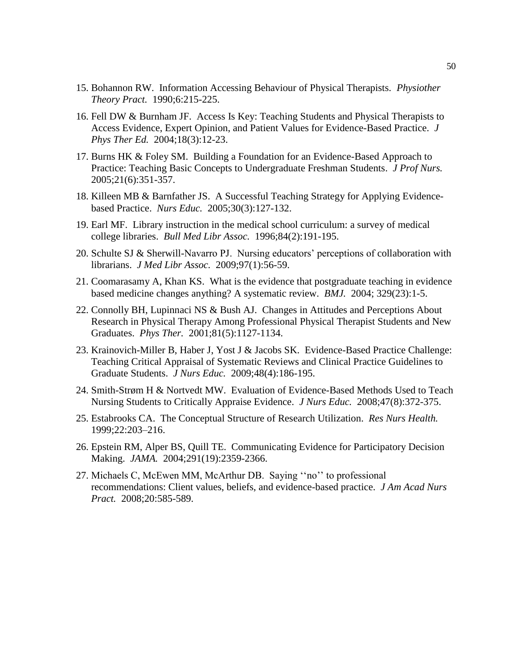- 15. Bohannon RW. Information Accessing Behaviour of Physical Therapists. *Physiother Theory Pract.* 1990;6:215-225.
- 16. Fell DW & Burnham JF. Access Is Key: Teaching Students and Physical Therapists to Access Evidence, Expert Opinion, and Patient Values for Evidence-Based Practice. *J Phys Ther Ed.* 2004;18(3):12-23.
- 17. Burns HK & Foley SM. Building a Foundation for an Evidence-Based Approach to Practice: Teaching Basic Concepts to Undergraduate Freshman Students. *J Prof Nurs.* 2005;21(6):351-357.
- 18. Killeen MB & Barnfather JS. A Successful Teaching Strategy for Applying Evidencebased Practice. *Nurs Educ.* 2005;30(3):127-132.
- 19. Earl MF. Library instruction in the medical school curriculum: a survey of medical college libraries. *Bull Med Libr Assoc.* 1996;84(2):191-195.
- 20. Schulte SJ & Sherwill-Navarro PJ. Nursing educators" perceptions of collaboration with librarians. *J Med Libr Assoc.* 2009;97(1):56-59.
- 21. Coomarasamy A, Khan KS. What is the evidence that postgraduate teaching in evidence based medicine changes anything? A systematic review. *BMJ.* 2004; 329(23):1-5.
- 22. Connolly BH, Lupinnaci NS & Bush AJ. Changes in Attitudes and Perceptions About Research in Physical Therapy Among Professional Physical Therapist Students and New Graduates. *Phys Ther.* 2001;81(5):1127-1134.
- 23. Krainovich-Miller B, Haber J, Yost J & Jacobs SK. Evidence-Based Practice Challenge: Teaching Critical Appraisal of Systematic Reviews and Clinical Practice Guidelines to Graduate Students. *J Nurs Educ.* 2009;48(4):186-195.
- 24. Smith-Strøm H & Nortvedt MW. Evaluation of Evidence-Based Methods Used to Teach Nursing Students to Critically Appraise Evidence. *J Nurs Educ.* 2008;47(8):372-375.
- 25. Estabrooks CA. The Conceptual Structure of Research Utilization. *Res Nurs Health.* 1999;22:203–216.
- 26. Epstein RM, Alper BS, Quill TE. Communicating Evidence for Participatory Decision Making. *JAMA.* 2004;291(19):2359-2366.
- 27. Michaels C, McEwen MM, McArthur DB. Saying ""no"" to professional recommendations: Client values, beliefs, and evidence-based practice. *J Am Acad Nurs Pract.* 2008;20:585-589.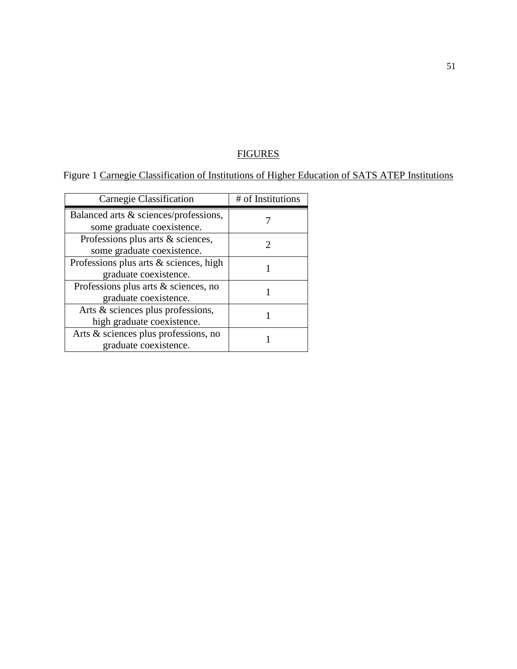# **FIGURES**

# Figure 1 Carnegie Classification of Institutions of Higher Education of SATS ATEP Institutions

| Carnegie Classification                | # of Institutions |
|----------------------------------------|-------------------|
| Balanced arts & sciences/professions,  |                   |
| some graduate coexistence.             |                   |
| Professions plus arts & sciences,      |                   |
| some graduate coexistence.             |                   |
| Professions plus arts & sciences, high |                   |
| graduate coexistence.                  |                   |
| Professions plus arts & sciences, no   |                   |
| graduate coexistence.                  |                   |
| Arts & sciences plus professions,      |                   |
| high graduate coexistence.             |                   |
| Arts & sciences plus professions, no   |                   |
| graduate coexistence.                  |                   |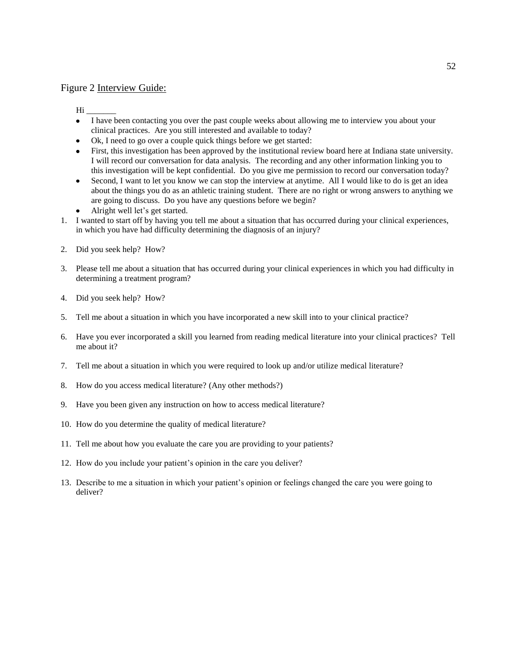### Figure 2 Interview Guide:

 $\rm{Hi}$   $\_$ 

- I have been contacting you over the past couple weeks about allowing me to interview you about your clinical practices. Are you still interested and available to today?
- Ok, I need to go over a couple quick things before we get started:
- First, this investigation has been approved by the institutional review board here at Indiana state university. I will record our conversation for data analysis. The recording and any other information linking you to this investigation will be kept confidential. Do you give me permission to record our conversation today?
- Second, I want to let you know we can stop the interview at anytime. All I would like to do is get an idea about the things you do as an athletic training student. There are no right or wrong answers to anything we are going to discuss. Do you have any questions before we begin?
- Alright well let's get started.
- 1. I wanted to start off by having you tell me about a situation that has occurred during your clinical experiences, in which you have had difficulty determining the diagnosis of an injury?
- 2. Did you seek help? How?
- 3. Please tell me about a situation that has occurred during your clinical experiences in which you had difficulty in determining a treatment program?
- 4. Did you seek help? How?
- 5. Tell me about a situation in which you have incorporated a new skill into to your clinical practice?
- 6. Have you ever incorporated a skill you learned from reading medical literature into your clinical practices? Tell me about it?
- 7. Tell me about a situation in which you were required to look up and/or utilize medical literature?
- 8. How do you access medical literature? (Any other methods?)
- 9. Have you been given any instruction on how to access medical literature?
- 10. How do you determine the quality of medical literature?
- 11. Tell me about how you evaluate the care you are providing to your patients?
- 12. How do you include your patient's opinion in the care you deliver?
- 13. Describe to me a situation in which your patient"s opinion or feelings changed the care you were going to deliver?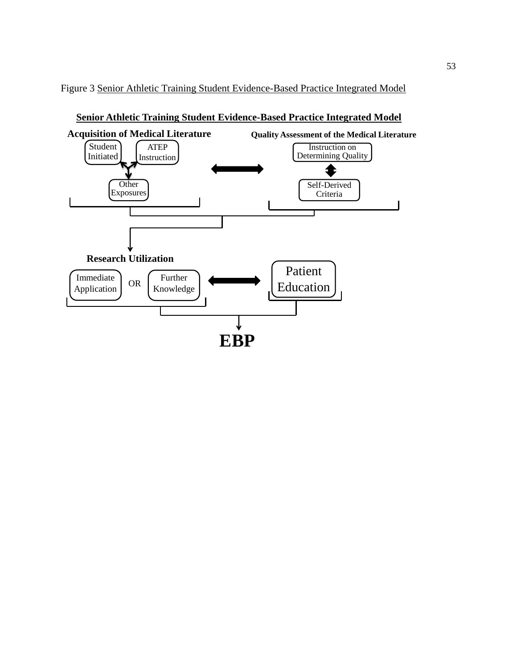Figure 3 Senior Athletic Training Student Evidence-Based Practice Integrated Model



**Senior Athletic Training Student Evidence-Based Practice Integrated Model**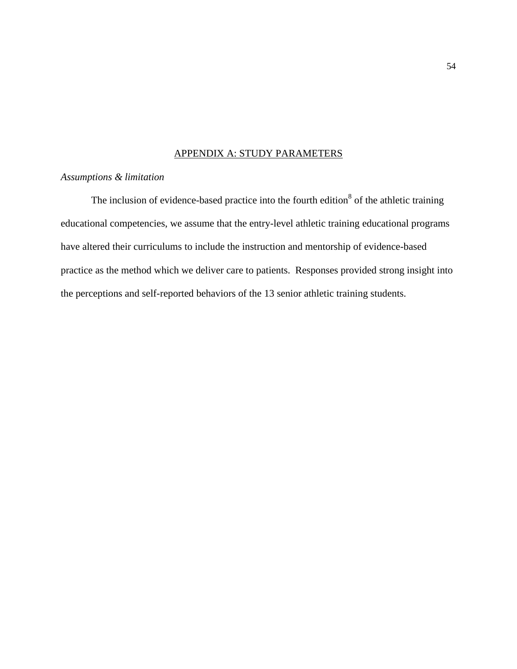# APPENDIX A: STUDY PARAMETERS

## *Assumptions & limitation*

The inclusion of evidence-based practice into the fourth edition<sup>8</sup> of the athletic training educational competencies, we assume that the entry-level athletic training educational programs have altered their curriculums to include the instruction and mentorship of evidence-based practice as the method which we deliver care to patients. Responses provided strong insight into the perceptions and self-reported behaviors of the 13 senior athletic training students.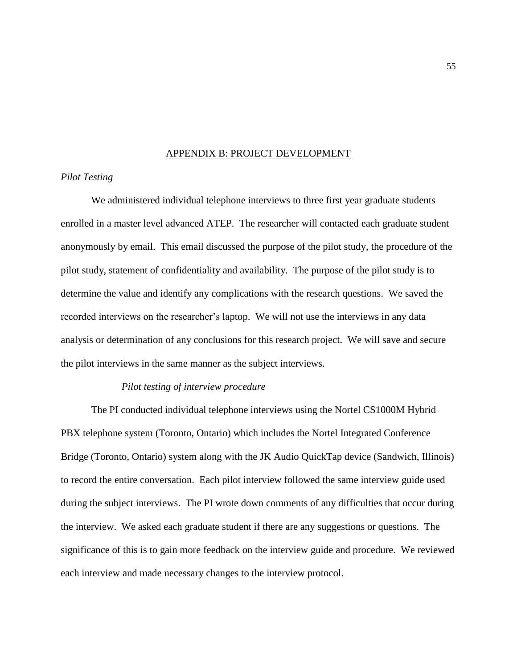### APPENDIX B: PROJECT DEVELOPMENT

### *Pilot Testing*

We administered individual telephone interviews to three first year graduate students enrolled in a master level advanced ATEP. The researcher will contacted each graduate student anonymously by email. This email discussed the purpose of the pilot study, the procedure of the pilot study, statement of confidentiality and availability. The purpose of the pilot study is to determine the value and identify any complications with the research questions. We saved the recorded interviews on the researcher"s laptop. We will not use the interviews in any data analysis or determination of any conclusions for this research project. We will save and secure the pilot interviews in the same manner as the subject interviews.

### *Pilot testing of interview procedure*

The PI conducted individual telephone interviews using the Nortel CS1000M Hybrid PBX telephone system (Toronto, Ontario) which includes the Nortel Integrated Conference Bridge (Toronto, Ontario) system along with the JK Audio QuickTap device (Sandwich, Illinois) to record the entire conversation. Each pilot interview followed the same interview guide used during the subject interviews. The PI wrote down comments of any difficulties that occur during the interview. We asked each graduate student if there are any suggestions or questions. The significance of this is to gain more feedback on the interview guide and procedure. We reviewed each interview and made necessary changes to the interview protocol.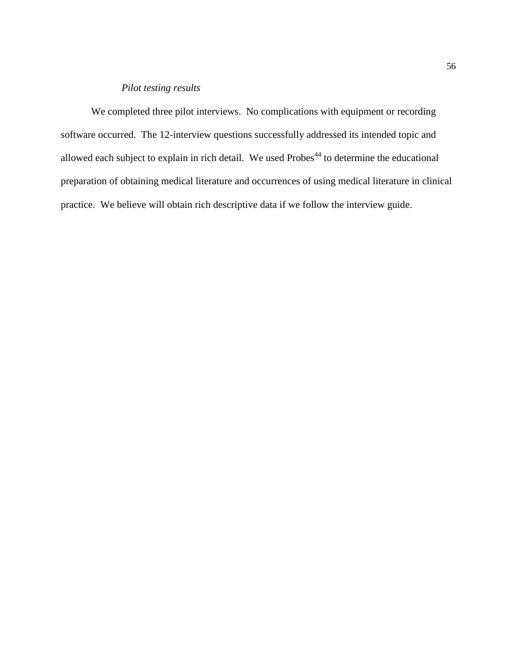## *Pilot testing results*

We completed three pilot interviews. No complications with equipment or recording software occurred. The 12-interview questions successfully addressed its intended topic and allowed each subject to explain in rich detail. We used  $Probes<sup>44</sup>$  to determine the educational preparation of obtaining medical literature and occurrences of using medical literature in clinical practice. We believe will obtain rich descriptive data if we follow the interview guide.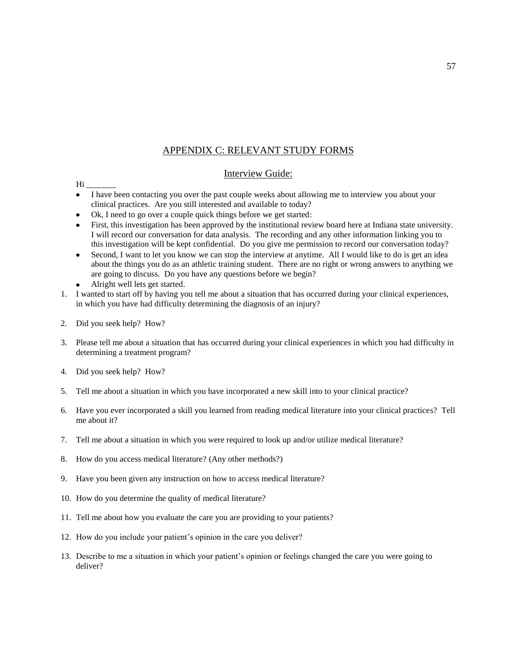# APPENDIX C: RELEVANT STUDY FORMS

### Interview Guide:

#### $Hi$

- I have been contacting you over the past couple weeks about allowing me to interview you about your clinical practices. Are you still interested and available to today?
- Ok, I need to go over a couple quick things before we get started:
- First, this investigation has been approved by the institutional review board here at Indiana state university. I will record our conversation for data analysis. The recording and any other information linking you to this investigation will be kept confidential. Do you give me permission to record our conversation today?
- Second, I want to let you know we can stop the interview at anytime. All I would like to do is get an idea about the things you do as an athletic training student. There are no right or wrong answers to anything we are going to discuss. Do you have any questions before we begin?
- Alright well lets get started.
- 1. I wanted to start off by having you tell me about a situation that has occurred during your clinical experiences, in which you have had difficulty determining the diagnosis of an injury?
- 2. Did you seek help? How?
- 3. Please tell me about a situation that has occurred during your clinical experiences in which you had difficulty in determining a treatment program?
- 4. Did you seek help? How?
- 5. Tell me about a situation in which you have incorporated a new skill into to your clinical practice?
- 6. Have you ever incorporated a skill you learned from reading medical literature into your clinical practices? Tell me about it?
- 7. Tell me about a situation in which you were required to look up and/or utilize medical literature?
- 8. How do you access medical literature? (Any other methods?)
- 9. Have you been given any instruction on how to access medical literature?
- 10. How do you determine the quality of medical literature?
- 11. Tell me about how you evaluate the care you are providing to your patients?
- 12. How do you include your patient's opinion in the care you deliver?
- 13. Describe to me a situation in which your patient"s opinion or feelings changed the care you were going to deliver?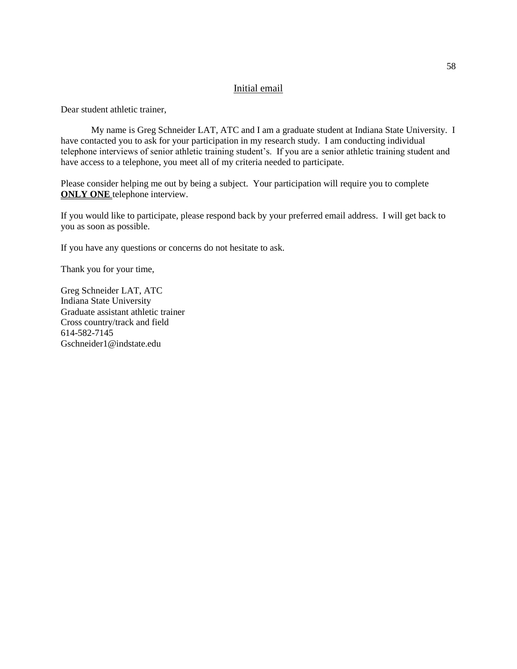### Initial email

Dear student athletic trainer,

My name is Greg Schneider LAT, ATC and I am a graduate student at Indiana State University. I have contacted you to ask for your participation in my research study. I am conducting individual telephone interviews of senior athletic training student"s. If you are a senior athletic training student and have access to a telephone, you meet all of my criteria needed to participate.

Please consider helping me out by being a subject. Your participation will require you to complete **ONLY ONE** telephone interview.

If you would like to participate, please respond back by your preferred email address. I will get back to you as soon as possible.

If you have any questions or concerns do not hesitate to ask.

Thank you for your time,

Greg Schneider LAT, ATC Indiana State University Graduate assistant athletic trainer Cross country/track and field 614-582-7145 Gschneider1@indstate.edu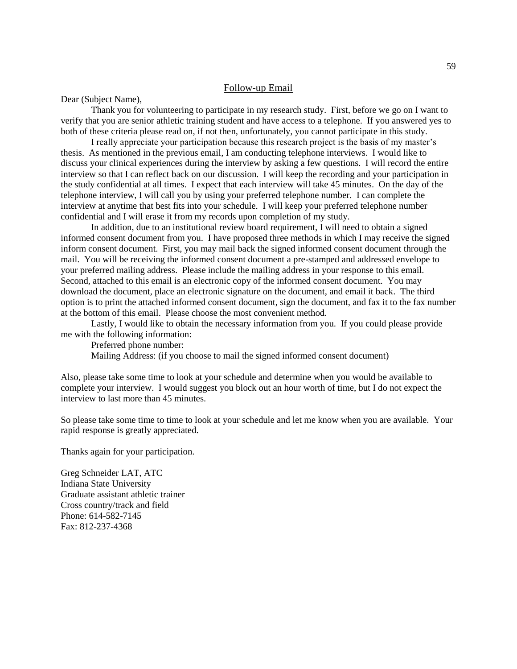### Follow-up Email

Dear (Subject Name),

Thank you for volunteering to participate in my research study. First, before we go on I want to verify that you are senior athletic training student and have access to a telephone. If you answered yes to both of these criteria please read on, if not then, unfortunately, you cannot participate in this study.

I really appreciate your participation because this research project is the basis of my master"s thesis. As mentioned in the previous email, I am conducting telephone interviews. I would like to discuss your clinical experiences during the interview by asking a few questions. I will record the entire interview so that I can reflect back on our discussion. I will keep the recording and your participation in the study confidential at all times. I expect that each interview will take 45 minutes. On the day of the telephone interview, I will call you by using your preferred telephone number. I can complete the interview at anytime that best fits into your schedule. I will keep your preferred telephone number confidential and I will erase it from my records upon completion of my study.

In addition, due to an institutional review board requirement, I will need to obtain a signed informed consent document from you. I have proposed three methods in which I may receive the signed inform consent document. First, you may mail back the signed informed consent document through the mail. You will be receiving the informed consent document a pre-stamped and addressed envelope to your preferred mailing address. Please include the mailing address in your response to this email. Second, attached to this email is an electronic copy of the informed consent document. You may download the document, place an electronic signature on the document, and email it back. The third option is to print the attached informed consent document, sign the document, and fax it to the fax number at the bottom of this email. Please choose the most convenient method.

Lastly, I would like to obtain the necessary information from you. If you could please provide me with the following information:

Preferred phone number:

Mailing Address: (if you choose to mail the signed informed consent document)

Also, please take some time to look at your schedule and determine when you would be available to complete your interview. I would suggest you block out an hour worth of time, but I do not expect the interview to last more than 45 minutes.

So please take some time to time to look at your schedule and let me know when you are available. Your rapid response is greatly appreciated.

Thanks again for your participation.

Greg Schneider LAT, ATC Indiana State University Graduate assistant athletic trainer Cross country/track and field Phone: 614-582-7145 Fax: 812-237-4368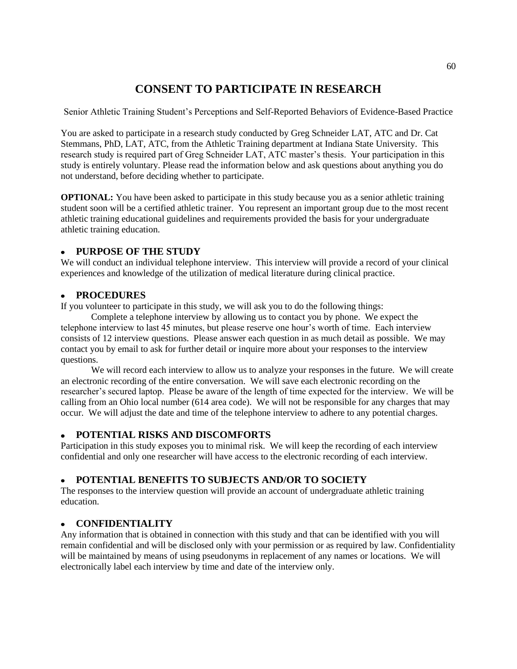# **CONSENT TO PARTICIPATE IN RESEARCH**

Senior Athletic Training Student"s Perceptions and Self-Reported Behaviors of Evidence-Based Practice

You are asked to participate in a research study conducted by Greg Schneider LAT, ATC and Dr. Cat Stemmans, PhD, LAT, ATC, from the Athletic Training department at Indiana State University. This research study is required part of Greg Schneider LAT, ATC master"s thesis. Your participation in this study is entirely voluntary. Please read the information below and ask questions about anything you do not understand, before deciding whether to participate.

**OPTIONAL:** You have been asked to participate in this study because you as a senior athletic training student soon will be a certified athletic trainer. You represent an important group due to the most recent athletic training educational guidelines and requirements provided the basis for your undergraduate athletic training education.

# **PURPOSE OF THE STUDY**

We will conduct an individual telephone interview. This interview will provide a record of your clinical experiences and knowledge of the utilization of medical literature during clinical practice.

### **PROCEDURES**

If you volunteer to participate in this study, we will ask you to do the following things:

Complete a telephone interview by allowing us to contact you by phone. We expect the telephone interview to last 45 minutes, but please reserve one hour"s worth of time. Each interview consists of 12 interview questions. Please answer each question in as much detail as possible. We may contact you by email to ask for further detail or inquire more about your responses to the interview questions.

We will record each interview to allow us to analyze your responses in the future. We will create an electronic recording of the entire conversation. We will save each electronic recording on the researcher"s secured laptop. Please be aware of the length of time expected for the interview. We will be calling from an Ohio local number (614 area code). We will not be responsible for any charges that may occur. We will adjust the date and time of the telephone interview to adhere to any potential charges.

#### **POTENTIAL RISKS AND DISCOMFORTS**  $\bullet$

Participation in this study exposes you to minimal risk. We will keep the recording of each interview confidential and only one researcher will have access to the electronic recording of each interview.

# **POTENTIAL BENEFITS TO SUBJECTS AND/OR TO SOCIETY**

The responses to the interview question will provide an account of undergraduate athletic training education.

# **CONFIDENTIALITY**

Any information that is obtained in connection with this study and that can be identified with you will remain confidential and will be disclosed only with your permission or as required by law. Confidentiality will be maintained by means of using pseudonyms in replacement of any names or locations. We will electronically label each interview by time and date of the interview only.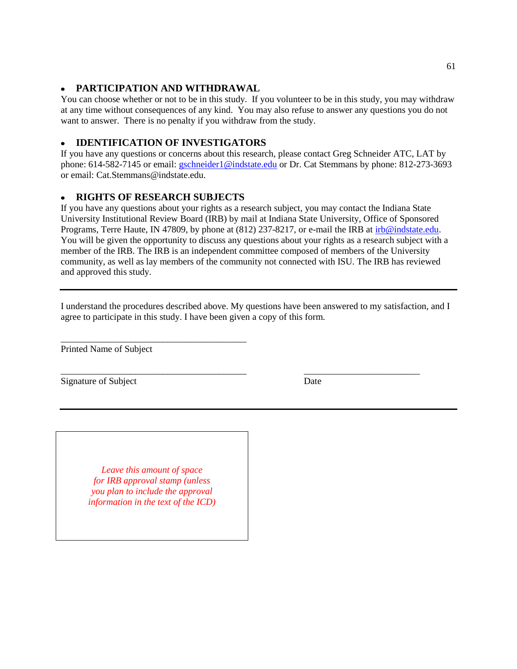# **PARTICIPATION AND WITHDRAWAL**

You can choose whether or not to be in this study. If you volunteer to be in this study, you may withdraw at any time without consequences of any kind. You may also refuse to answer any questions you do not want to answer. There is no penalty if you withdraw from the study.

# **IDENTIFICATION OF INVESTIGATORS**

If you have any questions or concerns about this research, please contact Greg Schneider ATC, LAT by phone: 614-582-7145 or email: [gschneider1@indstate.edu](mailto:gschneider1@indstate.edu) or Dr. Cat Stemmans by phone: 812-273-3693 or email: Cat.Stemmans@indstate.edu.

# **RIGHTS OF RESEARCH SUBJECTS**

\_\_\_\_\_\_\_\_\_\_\_\_\_\_\_\_\_\_\_\_\_\_\_\_\_\_\_\_\_\_\_\_\_\_\_\_\_\_\_\_

If you have any questions about your rights as a research subject, you may contact the Indiana State University Institutional Review Board (IRB) by mail at Indiana State University, Office of Sponsored Programs, Terre Haute, IN 47809, by phone at (812) 237-8217, or e-mail the IRB at [irb@indstate.edu.](mailto:dunderwood@isugw.indstate.edu) You will be given the opportunity to discuss any questions about your rights as a research subject with a member of the IRB. The IRB is an independent committee composed of members of the University community, as well as lay members of the community not connected with ISU. The IRB has reviewed and approved this study.

I understand the procedures described above. My questions have been answered to my satisfaction, and I agree to participate in this study. I have been given a copy of this form.

\_\_\_\_\_\_\_\_\_\_\_\_\_\_\_\_\_\_\_\_\_\_\_\_\_\_\_\_\_\_\_\_\_\_\_\_\_\_\_\_ \_\_\_\_\_\_\_\_\_\_\_\_\_\_\_\_\_\_\_\_\_\_\_\_\_

Printed Name of Subject

Signature of Subject Date

*Leave this amount of space for IRB approval stamp (unless you plan to include the approval information in the text of the ICD)*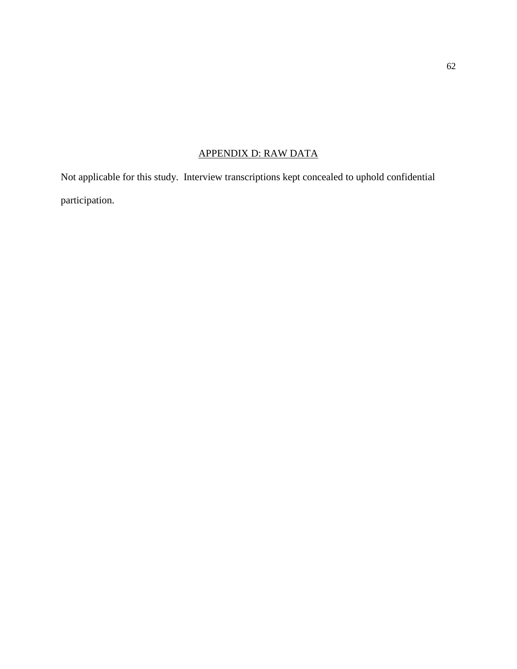# APPENDIX D: RAW DATA

Not applicable for this study. Interview transcriptions kept concealed to uphold confidential participation.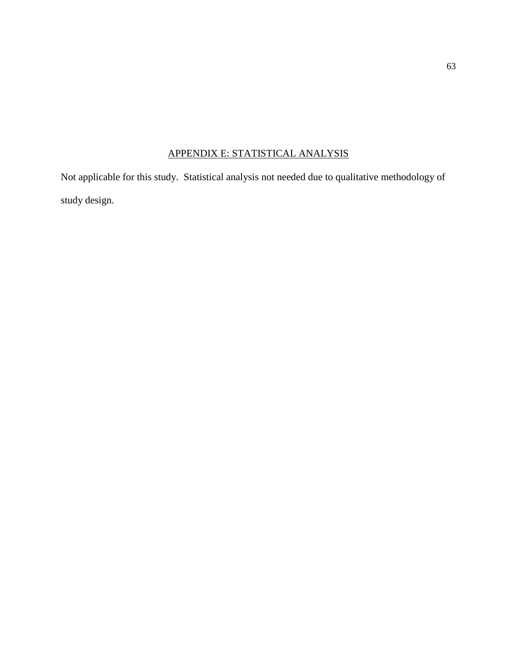# APPENDIX E: STATISTICAL ANALYSIS

Not applicable for this study. Statistical analysis not needed due to qualitative methodology of study design.